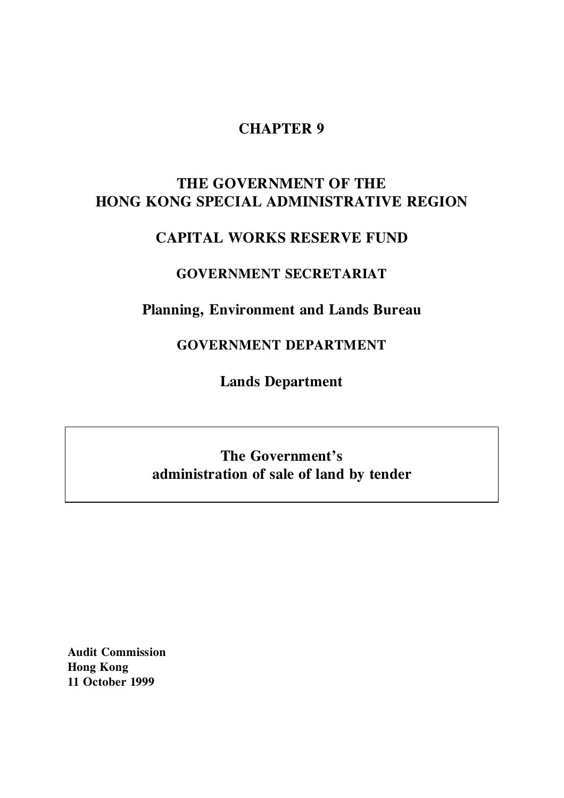## **CHAPTER 9**

# **THE GOVERNMENT OF THE HONG KONG SPECIAL ADMINISTRATIVE REGION**

# **CAPITAL WORKS RESERVE FUND**

## **GOVERNMENT SECRETARIAT**

# **Planning, Environment and Lands Bureau**

# **GOVERNMENT DEPARTMENT**

**Lands Department**

# **The Government's administration of sale of land by tender**

**Audit Commission Hong Kong 11 October 1999**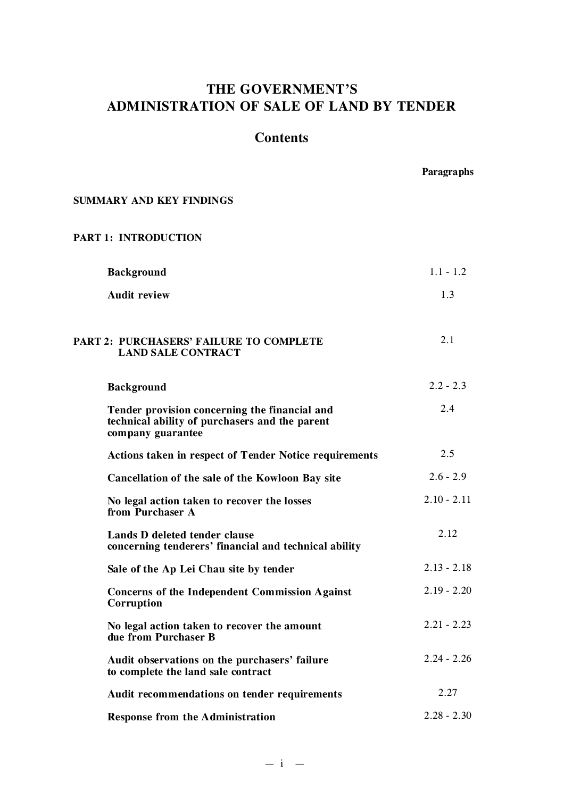# **THE GOVERNMENT'S ADMINISTRATION OF SALE OF LAND BY TENDER**

## **Contents**

**Paragraphs**

#### **SUMMARY AND KEY FINDINGS**

#### **PART 1: INTRODUCTION**

| <b>Background</b>                                                                                                    | $1.1 - 1.2$   |
|----------------------------------------------------------------------------------------------------------------------|---------------|
| <b>Audit review</b>                                                                                                  | 1.3           |
| <b>PART 2: PURCHASERS' FAILURE TO COMPLETE</b><br><b>LAND SALE CONTRACT</b>                                          | 2.1           |
| <b>Background</b>                                                                                                    | $2.2 - 2.3$   |
| Tender provision concerning the financial and<br>technical ability of purchasers and the parent<br>company guarantee | 2.4           |
| <b>Actions taken in respect of Tender Notice requirements</b>                                                        | 2.5           |
| Cancellation of the sale of the Kowloon Bay site                                                                     | $2.6 - 2.9$   |
| No legal action taken to recover the losses<br>from Purchaser A                                                      | $2.10 - 2.11$ |
| Lands D deleted tender clause<br>concerning tenderers' financial and technical ability                               | 2.12          |
| Sale of the Ap Lei Chau site by tender                                                                               | $2.13 - 2.18$ |
| <b>Concerns of the Independent Commission Against</b><br>Corruption                                                  | $2.19 - 2.20$ |
| No legal action taken to recover the amount<br>due from Purchaser B                                                  | $2.21 - 2.23$ |
| Audit observations on the purchasers' failure<br>to complete the land sale contract                                  | $2.24 - 2.26$ |
| Audit recommendations on tender requirements                                                                         | 2.27          |
| <b>Response from the Administration</b>                                                                              | $2.28 - 2.30$ |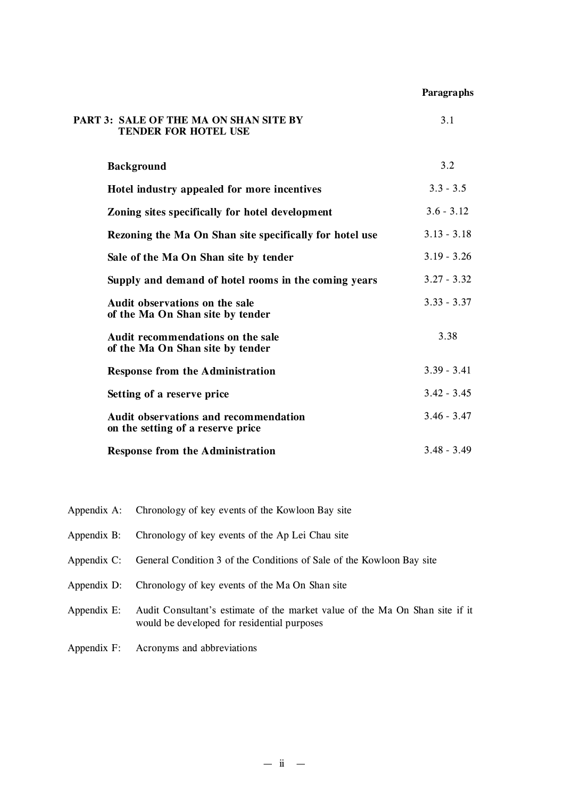#### **Paragraphs**

| PART 3: SALE OF THE MA ON SHAN SITE BY<br><b>TENDER FOR HOTEL USE</b>             | 3.1           |
|-----------------------------------------------------------------------------------|---------------|
| <b>Background</b>                                                                 | 3.2           |
| Hotel industry appealed for more incentives                                       | $3.3 - 3.5$   |
| Zoning sites specifically for hotel development                                   | $3.6 - 3.12$  |
| Rezoning the Ma On Shan site specifically for hotel use                           | $3.13 - 3.18$ |
| Sale of the Ma On Shan site by tender                                             | $3.19 - 3.26$ |
| Supply and demand of hotel rooms in the coming years                              | $3.27 - 3.32$ |
| Audit observations on the sale<br>of the Ma On Shan site by tender                | $3.33 - 3.37$ |
| Audit recommendations on the sale<br>of the Ma On Shan site by tender             | 3.38          |
| <b>Response from the Administration</b>                                           | $3.39 - 3.41$ |
| Setting of a reserve price                                                        | $3.42 - 3.45$ |
| <b>Audit observations and recommendation</b><br>on the setting of a reserve price | $3.46 - 3.47$ |
| <b>Response from the Administration</b>                                           | $3.48 - 3.49$ |

- Appendix A: Chronology of key events of the Kowloon Bay site
- Appendix B: Chronology of key events of the Ap Lei Chau site
- Appendix C: General Condition 3 of the Conditions of Sale of the Kowloon Bay site
- Appendix D: Chronology of key events of the Ma On Shan site
- Appendix E: Audit Consultant's estimate of the market value of the Ma On Shan site if it would be developed for residential purposes
- Appendix F: Acronyms and abbreviations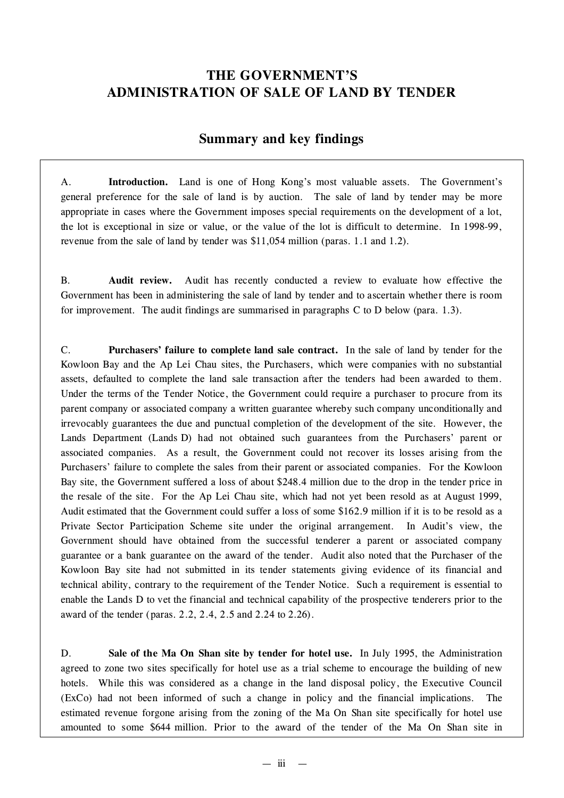# **THE GOVERNMENT'S ADMINISTRATION OF SALE OF LAND BY TENDER**

## **Summary and key findings**

A. **Introduction.** Land is one of Hong Kong's most valuable assets. The Government's general preference for the sale of land is by auction. The sale of land by tender may be more appropriate in cases where the Government imposes special requirements on the development of a lot, the lot is exceptional in size or value, or the value of the lot is difficult to determine. In 1998-99, revenue from the sale of land by tender was \$11,054 million (paras. 1.1 and 1.2).

B. **Audit review.** Audit has recently conducted a review to evaluate how effective the Government has been in administering the sale of land by tender and to ascertain whether there is room for improvement. The audit findings are summarised in paragraphs C to D below (para. 1.3).

C. **Purchasers' failure to complete land sale contract.** In the sale of land by tender for the Kowloon Bay and the Ap Lei Chau sites, the Purchasers, which were companies with no substantial assets, defaulted to complete the land sale transaction after the tenders had been awarded to them. Under the terms of the Tender Notice, the Government could require a purchaser to procure from its parent company or associated company a written guarantee whereby such company unconditionally and irrevocably guarantees the due and punctual completion of the development of the site. However, the Lands Department (Lands D) had not obtained such guarantees from the Purchasers' parent or associated companies. As a result, the Government could not recover its losses arising from the Purchasers' failure to complete the sales from their parent or associated companies. For the Kowloon Bay site, the Government suffered a loss of about \$248.4 million due to the drop in the tender price in the resale of the site. For the Ap Lei Chau site, which had not yet been resold as at August 1999, Audit estimated that the Government could suffer a loss of some \$162.9 million if it is to be resold as a Private Sector Participation Scheme site under the original arrangement. In Audit's view, the Government should have obtained from the successful tenderer a parent or associated company guarantee or a bank guarantee on the award of the tender. Audit also noted that the Purchaser of the Kowloon Bay site had not submitted in its tender statements giving evidence of its financial and technical ability, contrary to the requirement of the Tender Notice. Such a requirement is essential to enable the Lands D to vet the financial and technical capability of the prospective tenderers prior to the award of the tender (paras. 2.2, 2.4, 2.5 and 2.24 to 2.26).

D. **Sale of the Ma On Shan site by tender for hotel use.** In July 1995, the Administration agreed to zone two sites specifically for hotel use as a trial scheme to encourage the building of new hotels. While this was considered as a change in the land disposal policy, the Executive Council (ExCo) had not been informed of such a change in policy and the financial implications. The estimated revenue forgone arising from the zoning of the Ma On Shan site specifically for hotel use amounted to some \$644 million. Prior to the award of the tender of the Ma On Shan site in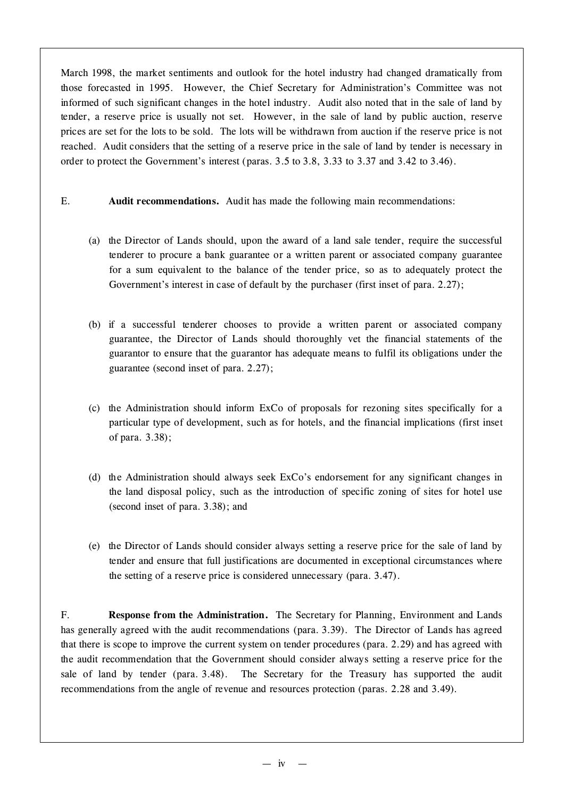March 1998, the market sentiments and outlook for the hotel industry had changed dramatically from those forecasted in 1995. However, the Chief Secretary for Administration's Committee was not informed of such significant changes in the hotel industry. Audit also noted that in the sale of land by tender, a reserve price is usually not set. However, in the sale of land by public auction, reserve prices are set for the lots to be sold. The lots will be withdrawn from auction if the reserve price is not reached. Audit considers that the setting of a reserve price in the sale of land by tender is necessary in order to protect the Government's interest (paras. 3.5 to 3.8, 3.33 to 3.37 and 3.42 to 3.46).

- E. **Audit recommendations.** Audit has made the following main recommendations:
	- (a) the Director of Lands should, upon the award of a land sale tender, require the successful tenderer to procure a bank guarantee or a written parent or associated company guarantee for a sum equivalent to the balance of the tender price, so as to adequately protect the Government's interest in case of default by the purchaser (first inset of para. 2.27);
	- (b) if a successful tenderer chooses to provide a written parent or associated company guarantee, the Director of Lands should thoroughly vet the financial statements of the guarantor to ensure that the guarantor has adequate means to fulfil its obligations under the guarantee (second inset of para. 2.27);
	- (c) the Administration should inform ExCo of proposals for rezoning sites specifically for a particular type of development, such as for hotels, and the financial implications (first inset of para. 3.38);
	- (d) the Administration should always seek ExCo's endorsement for any significant changes in the land disposal policy, such as the introduction of specific zoning of sites for hotel use (second inset of para. 3.38); and
	- (e) the Director of Lands should consider always setting a reserve price for the sale of land by tender and ensure that full justifications are documented in exceptional circumstances where the setting of a reserve price is considered unnecessary (para. 3.47).

F. **Response from the Administration.** The Secretary for Planning, Environment and Lands has generally agreed with the audit recommendations (para. 3.39). The Director of Lands has agreed that there is scope to improve the current system on tender procedures (para. 2.29) and has agreed with the audit recommendation that the Government should consider always setting a reserve price for the sale of land by tender (para. 3.48). The Secretary for the Treasury has supported the audit recommendations from the angle of revenue and resources protection (paras. 2.28 and 3.49).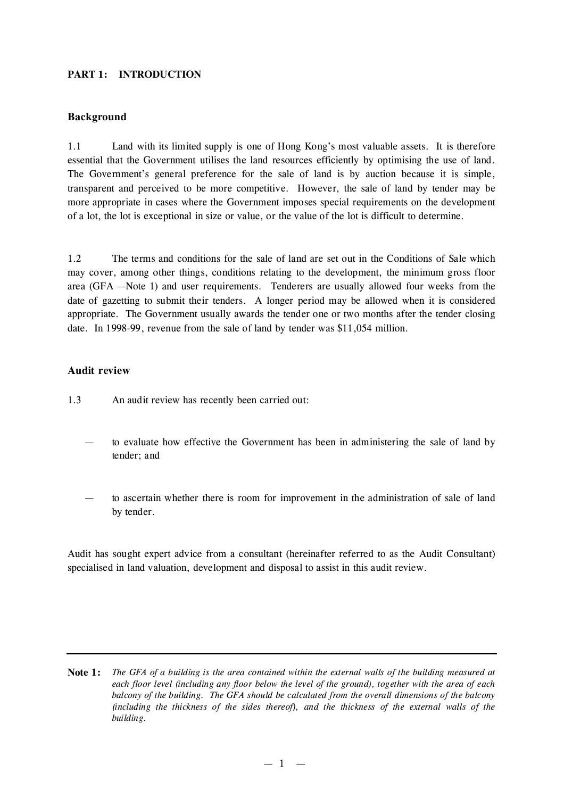#### **PART 1: INTRODUCTION**

#### **Background**

1.1 Land with its limited supply is one of Hong Kong's most valuable assets. It is therefore essential that the Government utilises the land resources efficiently by optimising the use of land. The Government's general preference for the sale of land is by auction because it is simple, transparent and perceived to be more competitive. However, the sale of land by tender may be more appropriate in cases where the Government imposes special requirements on the development of a lot, the lot is exceptional in size or value, or the value of the lot is difficult to determine.

1.2 The terms and conditions for the sale of land are set out in the Conditions of Sale which may cover, among other things, conditions relating to the development, the minimum gross floor area (GFA — Note 1) and user requirements. Tenderers are usually allowed four weeks from the date of gazetting to submit their tenders. A longer period may be allowed when it is considered appropriate. The Government usually awards the tender one or two months after the tender closing date. In 1998-99, revenue from the sale of land by tender was \$11,054 million.

#### **Audit review**

- 1.3 An audit review has recently been carried out:
	- to evaluate how effective the Government has been in administering the sale of land by tender; and
	- to ascertain whether there is room for improvement in the administration of sale of land by tender.

Audit has sought expert advice from a consultant (hereinafter referred to as the Audit Consultant) specialised in land valuation, development and disposal to assist in this audit review.

**Note 1:** The GFA of a building is the area contained within the external walls of the building measured at each floor level (including any floor below the level of the ground), together with the area of each *balcony of the building. The GFA should be calculated from the overall dimensions of the balcony (including the thickness of the sides thereof), and the thickness of the external walls of the building.*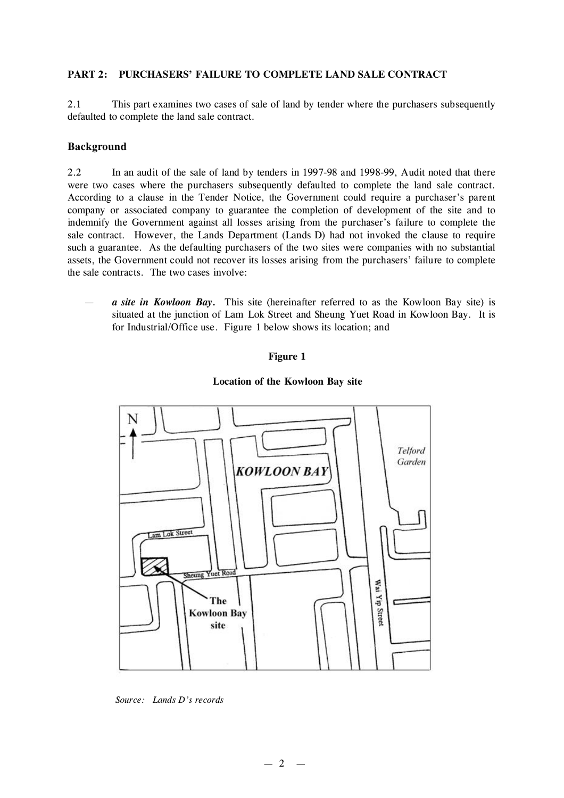#### **PART 2: PURCHASERS' FAILURE TO COMPLETE LAND SALE CONTRACT**

2.1 This part examines two cases of sale of land by tender where the purchasers subsequently defaulted to complete the land sale contract.

#### **Background**

2.2 In an audit of the sale of land by tenders in 1997-98 and 1998-99, Audit noted that there were two cases where the purchasers subsequently defaulted to complete the land sale contract. According to a clause in the Tender Notice, the Government could require a purchaser's parent company or associated company to guarantee the completion of development of the site and to indemnify the Government against all losses arising from the purchaser's failure to complete the sale contract. However, the Lands Department (Lands D) had not invoked the clause to require such a guarantee. As the defaulting purchasers of the two sites were companies with no substantial assets, the Government could not recover its losses arising from the purchasers' failure to complete the sale contracts. The two cases involve:

— *a site in Kowloon Bay.* This site (hereinafter referred to as the Kowloon Bay site) is situated at the junction of Lam Lok Street and Sheung Yuet Road in Kowloon Bay. It is for Industrial/Office use. Figure 1 below shows its location; and

#### **Figure 1**

#### **Location of the Kowloon Bay site**



*Source: Lands D's records*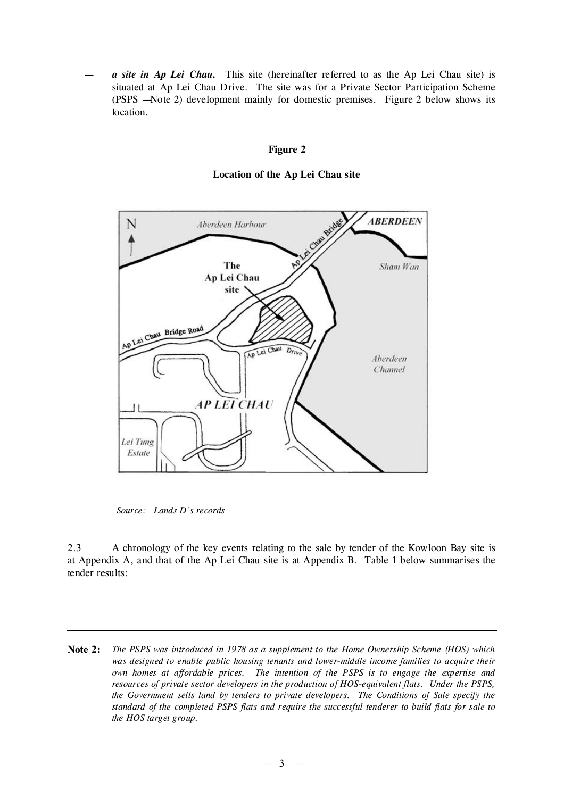— *a site in Ap Lei Chau.* This site (hereinafter referred to as the Ap Lei Chau site) is situated at Ap Lei Chau Drive. The site was for a Private Sector Participation Scheme (PSPS — Note 2) development mainly for domestic premises. Figure 2 below shows its location.

#### **Figure 2**

**Location of the Ap Lei Chau site**



*Source: Lands D's records*

2.3 A chronology of the key events relating to the sale by tender of the Kowloon Bay site is at Appendix A, and that of the Ap Lei Chau site is at Appendix B. Table 1 below summarises the tender results:

**Note 2:** *The PSPS was introduced in 1978 as a supplement to the Home Ownership Scheme (HOS) which was designed to enable public housing tenants and lower-middle income families to acquire their own homes at affordable prices. The intention of the PSPS is to engage the expertise and resources of private sector developers in the production of HOS-equivalent flats. Under the PSPS, the Government sells land by tenders to private developers. The Conditions of Sale specify the standard of the completed PSPS flats and require the successful tenderer to build flats for sale to the HOS target group.*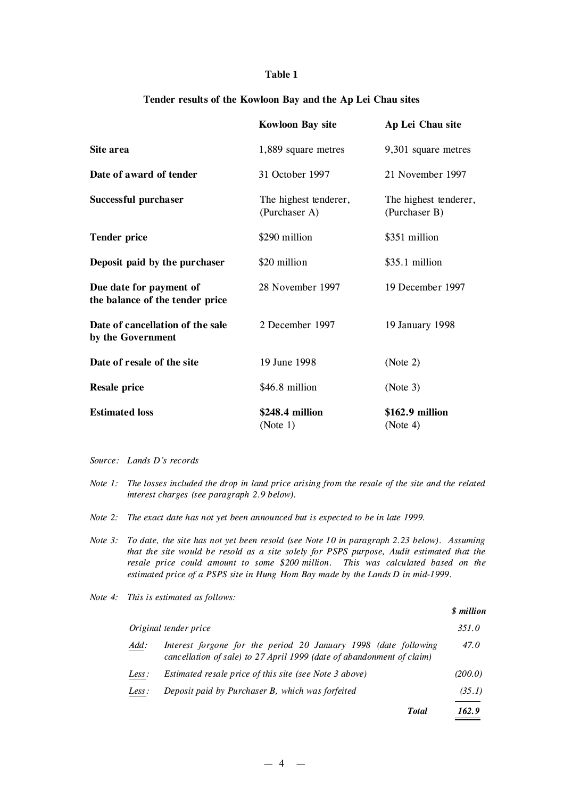#### **Table 1**

#### **Tender results of the Kowloon Bay and the Ap Lei Chau sites**

|                                                            | <b>Kowloon Bay site</b>                | Ap Lei Chau site                       |
|------------------------------------------------------------|----------------------------------------|----------------------------------------|
| Site area                                                  | 1,889 square metres                    | 9,301 square metres                    |
| Date of award of tender                                    | 31 October 1997                        | 21 November 1997                       |
| Successful purchaser                                       | The highest tenderer,<br>(Purchaser A) | The highest tenderer,<br>(Purchaser B) |
| <b>Tender price</b>                                        | \$290 million                          | \$351 million                          |
| Deposit paid by the purchaser                              | \$20 million                           | \$35.1 million                         |
| Due date for payment of<br>the balance of the tender price | 28 November 1997                       | 19 December 1997                       |
| Date of cancellation of the sale<br>by the Government      | 2 December 1997                        | 19 January 1998                        |
| Date of resale of the site                                 | 19 June 1998                           | (Note 2)                               |
| <b>Resale price</b>                                        | \$46.8 million                         | (Note 3)                               |
| <b>Estimated loss</b>                                      | \$248.4 million<br>(Note 1)            | \$162.9 million<br>(Note 4)            |

#### *Source: Lands D's records*

- Note 1: The losses included the drop in land price arising from the resale of the site and the related *interest charges (see paragraph 2.9 below).*
- *Note 2: The exact date has not yet been announced but is expected to be in late 1999.*
- Note 3: To date, the site has not yet been resold (see Note 10 in paragraph 2.23 below). Assuming *that the site would be resold as a site solely for PSPS purpose, Audit estimated that the resale price could amount to some \$200 million. This was calculated based on the estimated price of a PSPS site in Hung Hom Bay made by the Lands D in mid-1999.*
- *Note 4: This is estimated as follows:*

|       |                                                                                                                                          | <i><b>S</b></i> million |
|-------|------------------------------------------------------------------------------------------------------------------------------------------|-------------------------|
|       | Original tender price                                                                                                                    | 351.0                   |
| Add:  | Interest forgone for the period 20 January 1998 (date following<br>cancellation of sale) to 27 April 1999 (date of abandonment of claim) | 47.0                    |
| Less: | Estimated resale price of this site (see Note 3 above)                                                                                   | (200.0)                 |
| Less: | Deposit paid by Purchaser B, which was forfeited                                                                                         | (35.1)                  |
|       | <b>Total</b>                                                                                                                             | 162.9                   |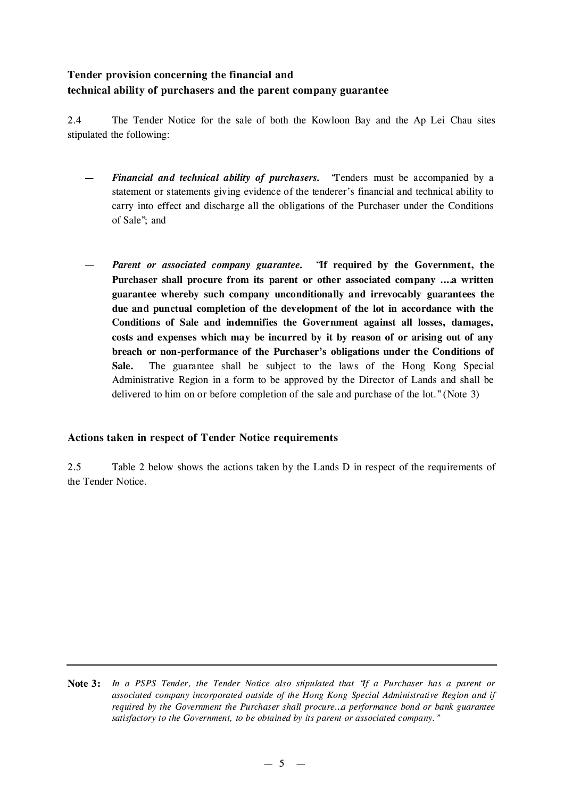## **Tender provision concerning the financial and technical ability of purchasers and the parent company guarantee**

2.4 The Tender Notice for the sale of both the Kowloon Bay and the Ap Lei Chau sites stipulated the following:

- *Financial and technical ability of purchasers.* "Tenders must be accompanied by a statement or statements giving evidence of the tenderer's financial and technical ability to carry into effect and discharge all the obligations of the Purchaser under the Conditions of Sale"; and
- *Parent or associated company guarantee.* "**If required by the Government, the Purchaser shall procure from its parent or other associated company … a written guarantee whereby such company unconditionally and irrevocably guarantees the due and punctual completion of the development of the lot in accordance with the Conditions of Sale and indemnifies the Government against all losses, damages, costs and expenses which may be incurred by it by reason of or arising out of any breach or non-performance of the Purchaser's obligations under the Conditions of Sale.** The guarantee shall be subject to the laws of the Hong Kong Special Administrative Region in a form to be approved by the Director of Lands and shall be delivered to him on or before completion of the sale and purchase of the lot."(Note 3)

## **Actions taken in respect of Tender Notice requirements**

2.5 Table 2 below shows the actions taken by the Lands D in respect of the requirements of the Tender Notice.

Note 3: In a PSPS Tender, the Tender Notice also stipulated that "If a Purchaser has a parent or *associated company incorporated outside of the Hong Kong Special Administrative Region and if required by the Government the Purchaser shall procure… a performance bond or bank guarantee satisfactory to the Government, to be obtained by its parent or associated company."*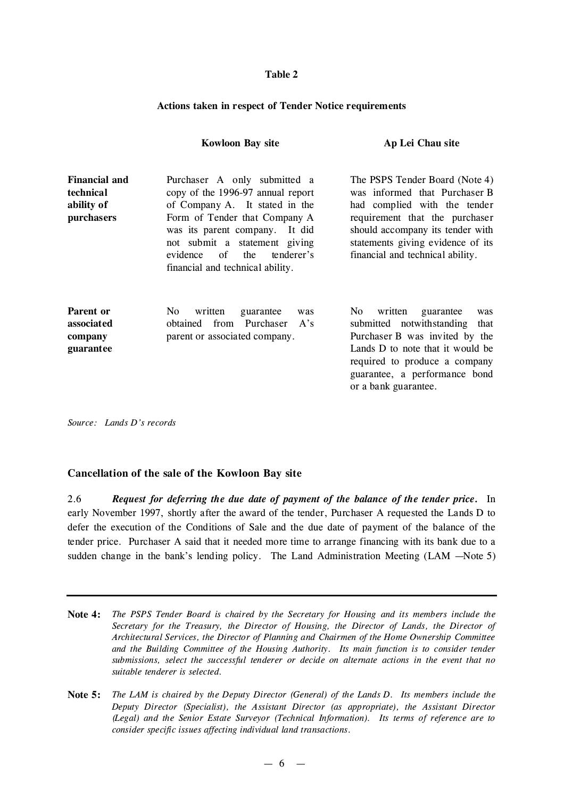#### **Table 2**

#### **Actions taken in respect of Tender Notice requirements**

|                                                               | <b>Kowloon Bay site</b>                                                                                                                                                                                                                                                            | Ap Lei Chau site                                                                                                                                                                                                                               |
|---------------------------------------------------------------|------------------------------------------------------------------------------------------------------------------------------------------------------------------------------------------------------------------------------------------------------------------------------------|------------------------------------------------------------------------------------------------------------------------------------------------------------------------------------------------------------------------------------------------|
| <b>Financial and</b><br>technical<br>ability of<br>purchasers | Purchaser A only submitted a<br>copy of the 1996-97 annual report<br>of Company A. It stated in the<br>Form of Tender that Company A<br>was its parent company. It did<br>not submit a statement giving<br>of<br>the<br>evidence<br>tenderer's<br>financial and technical ability. | The PSPS Tender Board (Note 4)<br>was informed that Purchaser B<br>had complied with the tender<br>requirement that the purchaser<br>should accompany its tender with<br>statements giving evidence of its<br>financial and technical ability. |
| Parent or<br>associated<br>company<br>guarantee               | No.<br>written<br>guarantee<br>was<br>from Purchaser<br>obtained<br>A's<br>parent or associated company.                                                                                                                                                                           | No.<br>written<br>guarantee<br>was<br>submitted notwithstanding<br>that<br>Purchaser B was invited by the<br>Lands D to note that it would be<br>required to produce a company<br>guarantee, a performance bond<br>or a bank guarantee.        |

*Source: Lands D's records*

#### **Cancellation of the sale of the Kowloon Bay site**

2.6 *Request for deferring the due date of payment of the balance of the tender price.* In early November 1997, shortly after the award of the tender, Purchaser A requested the Lands D to defer the execution of the Conditions of Sale and the due date of payment of the balance of the tender price. Purchaser A said that it needed more time to arrange financing with its bank due to a sudden change in the bank's lending policy. The Land Administration Meeting (LAM – Note 5)

- **Note 4:** *The PSPS Tender Board is chaired by the Secretary for Housing and its members include the Secretary for the Treasury, the Director of Housing, the Director of Lands, the Director of Architectural Services, the Director of Planning and Chairmen of the Home Ownership Committee and the Building Committee of the Housing Authority. Its main function is to consider tender submissions, select the successful tenderer or decide on alternate actions in the event that no suitable tenderer is selected.*
- Note 5: The LAM is chaired by the Deputy Director (General) of the Lands D. Its members include the *Deputy Director (Specialist), the Assistant Director (as appropriate), the Assistant Director (Legal) and the Senior Estate Surveyor (Technical Information). Its terms of reference are to consider specific issues affecting individual land transactions.*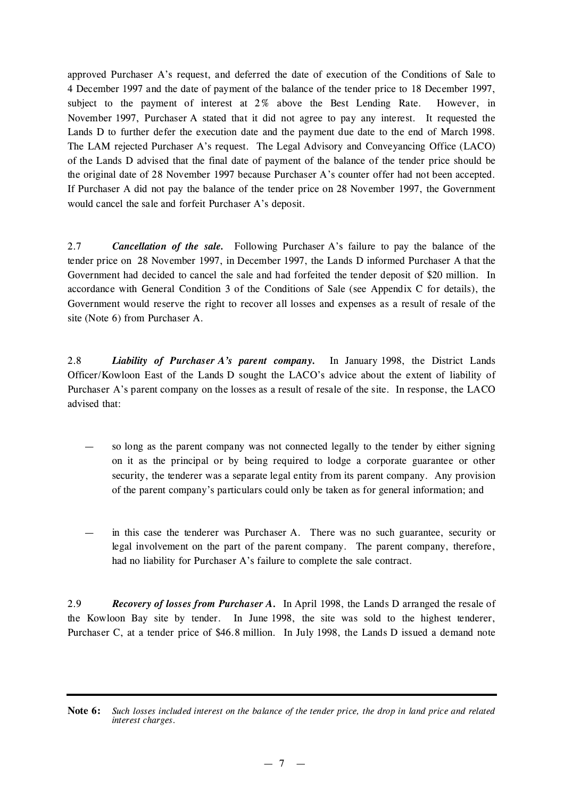approved Purchaser A's request, and deferred the date of execution of the Conditions of Sale to 4 December 1997 and the date of payment of the balance of the tender price to 18 December 1997, subject to the payment of interest at 2% above the Best Lending Rate. However, in November 1997, Purchaser A stated that it did not agree to pay any interest. It requested the Lands D to further defer the execution date and the payment due date to the end of March 1998. The LAM rejected Purchaser A's request. The Legal Advisory and Conveyancing Office (LACO) of the Lands D advised that the final date of payment of the balance of the tender price should be the original date of 28 November 1997 because Purchaser A's counter offer had not been accepted. If Purchaser A did not pay the balance of the tender price on 28 November 1997, the Government would cancel the sale and forfeit Purchaser A's deposit.

2.7 *Cancellation of the sale.* Following Purchaser A's failure to pay the balance of the tender price on 28 November 1997, in December 1997, the Lands D informed Purchaser A that the Government had decided to cancel the sale and had forfeited the tender deposit of \$20 million. In accordance with General Condition 3 of the Conditions of Sale (see Appendix C for details), the Government would reserve the right to recover all losses and expenses as a result of resale of the site (Note 6) from Purchaser A.

2.8 *Liability of Purchaser A's parent company.* In January 1998, the District Lands Officer/Kowloon East of the Lands D sought the LACO's advice about the extent of liability of Purchaser A's parent company on the losses as a result of resale of the site. In response, the LACO advised that:

- so long as the parent company was not connected legally to the tender by either signing on it as the principal or by being required to lodge a corporate guarantee or other security, the tenderer was a separate legal entity from its parent company. Any provision of the parent company's particulars could only be taken as for general information; and
- in this case the tenderer was Purchaser A. There was no such guarantee, security or legal involvement on the part of the parent company. The parent company, therefore, had no liability for Purchaser A's failure to complete the sale contract.

2.9 *Recovery of losses from Purchaser A.* In April 1998, the Lands D arranged the resale of the Kowloon Bay site by tender. In June 1998, the site was sold to the highest tenderer, Purchaser C, at a tender price of \$46.8 million. In July 1998, the Lands D issued a demand note

Note 6: Such losses included interest on the balance of the tender price, the drop in land price and related *interest charges.*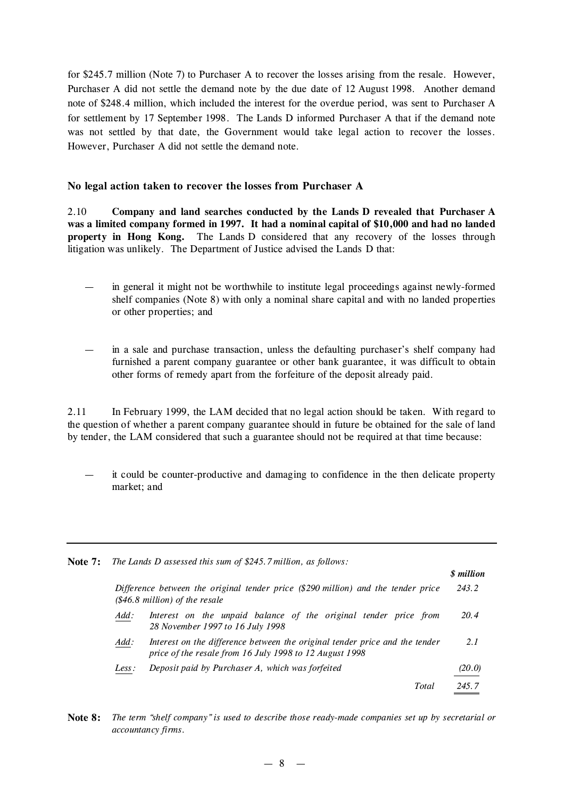for \$245.7 million (Note 7) to Purchaser A to recover the losses arising from the resale. However, Purchaser A did not settle the demand note by the due date of 12 August 1998. Another demand note of \$248.4 million, which included the interest for the overdue period, was sent to Purchaser A for settlement by 17 September 1998. The Lands D informed Purchaser A that if the demand note was not settled by that date, the Government would take legal action to recover the losses. However, Purchaser A did not settle the demand note.

### **No legal action taken to recover the losses from Purchaser A**

2.10 **Company and land searches conducted by the Lands D revealed that Purchaser A was a limited company formed in 1997. It had a nominal capital of \$10,000 and had no landed property in Hong Kong.** The Lands D considered that any recovery of the losses through litigation was unlikely. The Department of Justice advised the Lands D that:

- in general it might not be worthwhile to institute legal proceedings against newly-formed shelf companies (Note 8) with only a nominal share capital and with no landed properties or other properties; and
- in a sale and purchase transaction, unless the defaulting purchaser's shelf company had furnished a parent company guarantee or other bank guarantee, it was difficult to obtain other forms of remedy apart from the forfeiture of the deposit already paid.

2.11 In February 1999, the LAM decided that no legal action should be taken. With regard to the question of whether a parent company guarantee should in future be obtained for the sale of land by tender, the LAM considered that such a guarantee should not be required at that time because:

— it could be counter-productive and damaging to confidence in the then delicate property market; and

| Note $7:$ |       | The Lands D assessed this sum of \$245.7 million, as follows:                                                                          |                          |
|-----------|-------|----------------------------------------------------------------------------------------------------------------------------------------|--------------------------|
|           |       |                                                                                                                                        | <i><b>\$</b></i> million |
|           |       | Difference between the original tender price (\$290 million) and the tender price<br>$(\$46.8$ million) of the resale                  | 243.2                    |
|           | Add:  | Interest on the unpaid balance of the original tender price from<br>28 November 1997 to 16 July 1998                                   | 20.4                     |
|           | Add:  | Interest on the difference between the original tender price and the tender<br>price of the resale from 16 July 1998 to 12 August 1998 | 2.1                      |
|           | Less: | Deposit paid by Purchaser A, which was forfeited                                                                                       | (20.0)                   |
|           |       | Total                                                                                                                                  | 245.7                    |

Note 8: The term "shelf company" is used to describe those ready-made companies set up by secretarial or *accountancy firms.*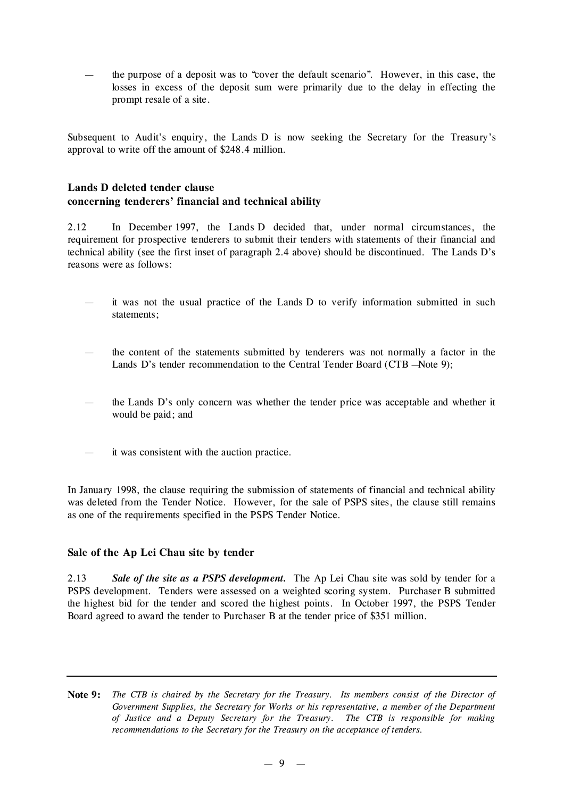— the purpose of a deposit was to "cover the default scenario". However, in this case, the losses in excess of the deposit sum were primarily due to the delay in effecting the prompt resale of a site.

Subsequent to Audit's enquiry, the Lands D is now seeking the Secretary for the Treasury's approval to write off the amount of \$248.4 million.

### **Lands D deleted tender clause concerning tenderers' financial and technical ability**

2.12 In December 1997, the Lands D decided that, under normal circumstances, the requirement for prospective tenderers to submit their tenders with statements of their financial and technical ability (see the first inset of paragraph 2.4 above) should be discontinued. The Lands D's reasons were as follows:

- it was not the usual practice of the Lands D to verify information submitted in such statements;
- the content of the statements submitted by tenderers was not normally a factor in the Lands D's tender recommendation to the Central Tender Board (CTB --Note 9);
- the Lands D's only concern was whether the tender price was acceptable and whether it would be paid; and
- it was consistent with the auction practice.

In January 1998, the clause requiring the submission of statements of financial and technical ability was deleted from the Tender Notice. However, for the sale of PSPS sites, the clause still remains as one of the requirements specified in the PSPS Tender Notice.

#### **Sale of the Ap Lei Chau site by tender**

2.13 *Sale of the site as a PSPS development.* The Ap Lei Chau site was sold by tender for a PSPS development. Tenders were assessed on a weighted scoring system. Purchaser B submitted the highest bid for the tender and scored the highest points. In October 1997, the PSPS Tender Board agreed to award the tender to Purchaser B at the tender price of \$351 million.

Note 9: The CTB is chaired by the Secretary for the Treasury. Its members consist of the Director of *Government Supplies, the Secretary for Works or his representative, a member of the Department of Justice and a Deputy Secretary for the Treasury. The CTB is responsible for making recommendations to the Secretary for the Treasury on the acceptance of tenders.*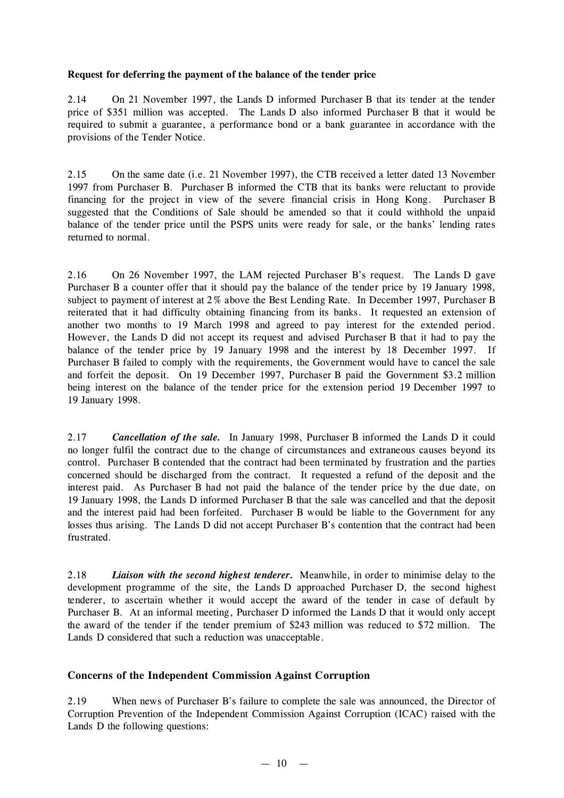#### **Request for deferring the payment of the balance of the tender price**

2.14 On 21 November 1997, the Lands D informed Purchaser B that its tender at the tender price of \$351 million was accepted. The Lands D also informed Purchaser B that it would be required to submit a guarantee, a performance bond or a bank guarantee in accordance with the provisions of the Tender Notice.

2.15 On the same date (i.e. 21 November 1997), the CTB received a letter dated 13 November 1997 from Purchaser B. Purchaser B informed the CTB that its banks were reluctant to provide financing for the project in view of the severe financial crisis in Hong Kong. Purchaser B suggested that the Conditions of Sale should be amended so that it could withhold the unpaid balance of the tender price until the PSPS units were ready for sale, or the banks' lending rates returned to normal.

2.16 On 26 November 1997, the LAM rejected Purchaser B's request. The Lands D gave Purchaser B a counter offer that it should pay the balance of the tender price by 19 January 1998, subject to payment of interest at 2% above the Best Lending Rate. In December 1997, Purchaser B reiterated that it had difficulty obtaining financing from its banks. It requested an extension of another two months to 19 March 1998 and agreed to pay interest for the extended period. However, the Lands D did not accept its request and advised Purchaser B that it had to pay the balance of the tender price by 19 January 1998 and the interest by 18 December 1997. If Purchaser B failed to comply with the requirements, the Government would have to cancel the sale and forfeit the deposit. On 19 December 1997, Purchaser B paid the Government \$3.2 million being interest on the balance of the tender price for the extension period 19 December 1997 to 19 January 1998.

2.17 *Cancellation of the sale.* In January 1998, Purchaser B informed the Lands D it could no longer fulfil the contract due to the change of circumstances and extraneous causes beyond its control. Purchaser B contended that the contract had been terminated by frustration and the parties concerned should be discharged from the contract. It requested a refund of the deposit and the interest paid. As Purchaser B had not paid the balance of the tender price by the due date, on 19 January 1998, the Lands D informed Purchaser B that the sale was cancelled and that the deposit and the interest paid had been forfeited. Purchaser B would be liable to the Government for any losses thus arising. The Lands D did not accept Purchaser B's contention that the contract had been frustrated.

2.18 *Liaison with the second highest tenderer.* Meanwhile, in order to minimise delay to the development programme of the site, the Lands D approached Purchaser D, the second highest tenderer, to ascertain whether it would accept the award of the tender in case of default by Purchaser B. At an informal meeting, Purchaser D informed the Lands D that it would only accept the award of the tender if the tender premium of \$243 million was reduced to \$72 million. The Lands D considered that such a reduction was unacceptable.

### **Concerns of the Independent Commission Against Corruption**

2.19 When news of Purchaser B's failure to complete the sale was announced, the Director of Corruption Prevention of the Independent Commission Against Corruption (ICAC) raised with the Lands D the following questions: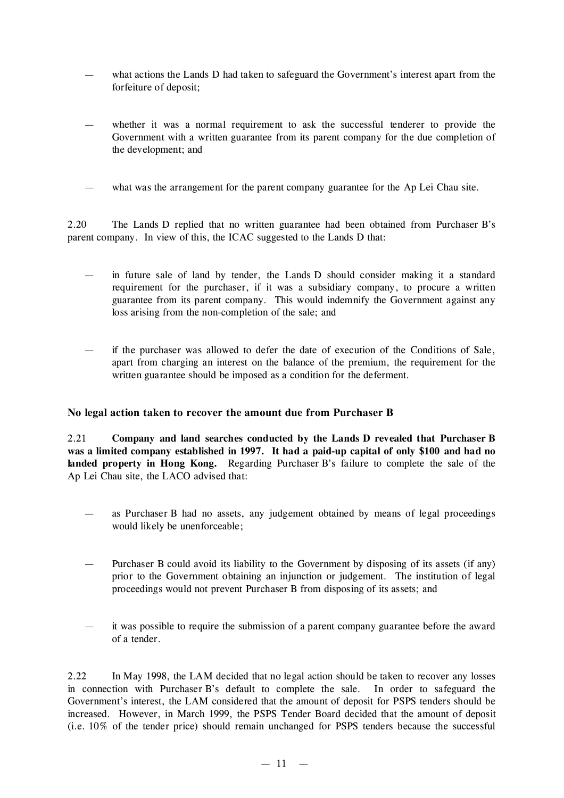- what actions the Lands D had taken to safeguard the Government's interest apart from the forfeiture of deposit;
- whether it was a normal requirement to ask the successful tenderer to provide the Government with a written guarantee from its parent company for the due completion of the development; and
- what was the arrangement for the parent company guarantee for the Ap Lei Chau site.

2.20 The Lands D replied that no written guarantee had been obtained from Purchaser B's parent company. In view of this, the ICAC suggested to the Lands D that:

- in future sale of land by tender, the Lands D should consider making it a standard requirement for the purchaser, if it was a subsidiary company, to procure a written guarantee from its parent company. This would indemnify the Government against any loss arising from the non-completion of the sale; and
- if the purchaser was allowed to defer the date of execution of the Conditions of Sale, apart from charging an interest on the balance of the premium, the requirement for the written guarantee should be imposed as a condition for the deferment.

#### **No legal action taken to recover the amount due from Purchaser B**

2.21 **Company and land searches conducted by the Lands D revealed that Purchaser B was a limited company established in 1997. It had a paid-up capital of only \$100 and had no landed property in Hong Kong.** Regarding Purchaser B's failure to complete the sale of the Ap Lei Chau site, the LACO advised that:

- as Purchaser B had no assets, any judgement obtained by means of legal proceedings would likely be unenforceable;
- Purchaser B could avoid its liability to the Government by disposing of its assets (if any) prior to the Government obtaining an injunction or judgement. The institution of legal proceedings would not prevent Purchaser B from disposing of its assets; and
- it was possible to require the submission of a parent company guarantee before the award of a tender.

2.22 In May 1998, the LAM decided that no legal action should be taken to recover any losses in connection with Purchaser B's default to complete the sale. In order to safeguard the Government's interest, the LAM considered that the amount of deposit for PSPS tenders should be increased. However, in March 1999, the PSPS Tender Board decided that the amount of deposit (i.e. 10% of the tender price) should remain unchanged for PSPS tenders because the successful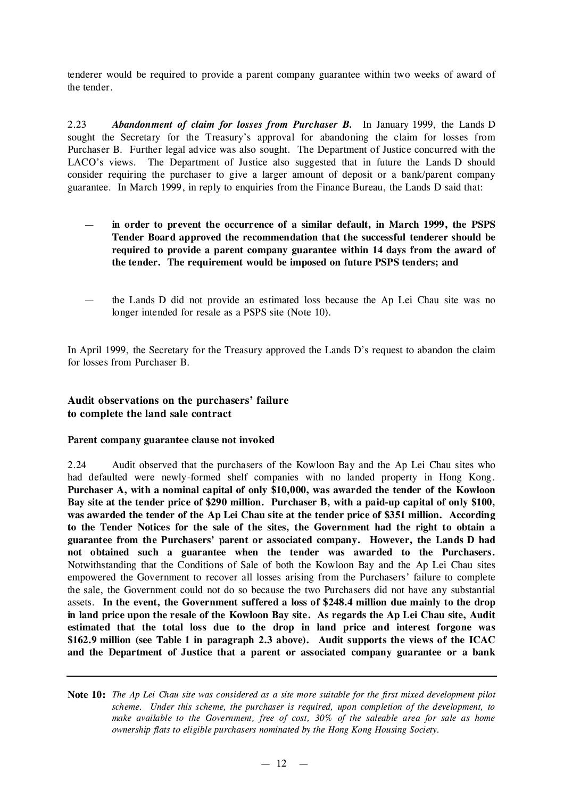tenderer would be required to provide a parent company guarantee within two weeks of award of the tender.

2.23 *Abandonment of claim for losses from Purchaser B.* In January 1999, the Lands D sought the Secretary for the Treasury's approval for abandoning the claim for losses from Purchaser B. Further legal advice was also sought. The Department of Justice concurred with the LACO's views. The Department of Justice also suggested that in future the Lands D should consider requiring the purchaser to give a larger amount of deposit or a bank/parent company guarantee. In March 1999, in reply to enquiries from the Finance Bureau, the Lands D said that:

- **in order to prevent the occurrence of a similar default, in March 1999, the PSPS Tender Board approved the recommendation that the successful tenderer should be required to provide a parent company guarantee within 14 days from the award of the tender. The requirement would be imposed on future PSPS tenders; and**
- the Lands D did not provide an estimated loss because the Ap Lei Chau site was no longer intended for resale as a PSPS site (Note 10).

In April 1999, the Secretary for the Treasury approved the Lands D's request to abandon the claim for losses from Purchaser B.

## **Audit observations on the purchasers' failure to complete the land sale contract**

#### **Parent company guarantee clause not invoked**

2.24 Audit observed that the purchasers of the Kowloon Bay and the Ap Lei Chau sites who had defaulted were newly-formed shelf companies with no landed property in Hong Kong. **Purchaser A, with a nominal capital of only \$10,000, was awarded the tender of the Kowloon Bay site at the tender price of \$290 million. Purchaser B, with a paid-up capital of only \$100, was awarded the tender of the Ap Lei Chau site at the tender price of \$351 million. According to the Tender Notices for the sale of the sites, the Government had the right to obtain a guarantee from the Purchasers' parent or associated company. However, the Lands D had not obtained such a guarantee when the tender was awarded to the Purchasers.** Notwithstanding that the Conditions of Sale of both the Kowloon Bay and the Ap Lei Chau sites empowered the Government to recover all losses arising from the Purchasers' failure to complete the sale, the Government could not do so because the two Purchasers did not have any substantial assets. **In the event, the Government suffered a loss of \$248.4 million due mainly to the drop** in land price upon the resale of the Kowloon Bay site. As regards the Ap Lei Chau site, Audit **estimated that the total loss due to the drop in land price and interest forgone was \$162.9 million (see Table 1 in paragraph 2.3 above). Audit supports the views of the ICAC and the Department of Justice that a parent or associated company guarantee or a bank**

Note 10: The Ap Lei Chau site was considered as a site more suitable for the first mixed development pilot *scheme. Under this scheme, the purchaser is required, upon completion of the development, to make available to the Government, free of cost, 30% of the saleable area for sale as home ownership flats to eligible purchasers nominated by the Hong Kong Housing Society.*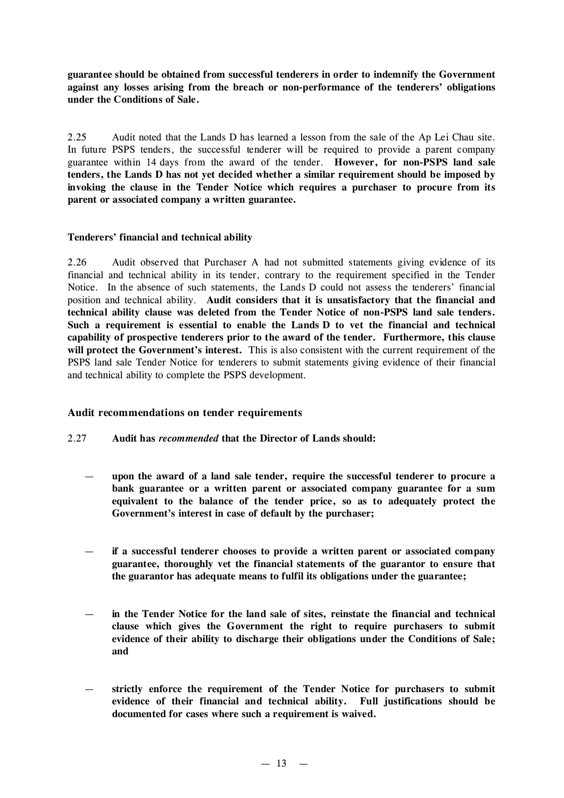**guarantee should be obtained from successful tenderers in order to indemnify the Government against any losses arising from the breach or non-performance of the tenderers' obligations under the Conditions of Sale.**

2.25 Audit noted that the Lands D has learned a lesson from the sale of the Ap Lei Chau site. In future PSPS tenders, the successful tenderer will be required to provide a parent company guarantee within 14 days from the award of the tender. **However, for non-PSPS land sale tenders, the Lands D has not yet decided whether a similar requirement should be imposed by invoking the clause in the Tender Notice which requires a purchaser to procure from its parent or associated company a written guarantee.**

#### **Tenderers'financial and technical ability**

2.26 Audit observed that Purchaser A had not submitted statements giving evidence of its financial and technical ability in its tender, contrary to the requirement specified in the Tender Notice. In the absence of such statements, the Lands D could not assess the tenderers' financial position and technical ability. **Audit considers that it is unsatisfactory that the financial and technical ability clause was deleted from the Tender Notice of non-PSPS land sale tenders. Such a requirement is essential to enable the Lands D to vet the financial and technical capability of prospective tenderers prior to the award of the tender. Furthermore, this clause will protect the Government's interest.** This is also consistent with the current requirement of the PSPS land sale Tender Notice for tenderers to submit statements giving evidence of their financial and technical ability to complete the PSPS development.

### **Audit recommendations on tender requirements**

- 2.27 **Audit has** *recommended* **that the Director of Lands should:**
	- **upon the award of a land sale tender, require the successful tenderer to procure a bank guarantee or a written parent or associated company guarantee for a sum equivalent to the balance of the tender price, so as to adequately protect the Government's interest in case of default by the purchaser;**
	- **if a successful tenderer chooses to provide a written parent or associated company guarantee, thoroughly vet the financial statements of the guarantor to ensure that the guarantor has adequate means to fulfil its obligations under the guarantee;**
	- **in the Tender Notice for the land sale of sites, reinstate the financial and technical clause which gives the Government the right to require purchasers to submit evidence of their ability to discharge their obligations under the Conditions of Sale; and**
	- **strictly enforce the requirement of the Tender Notice for purchasers to submit evidence of their financial and technical ability. Full justifications should be documented for cases where such a requirement is waived.**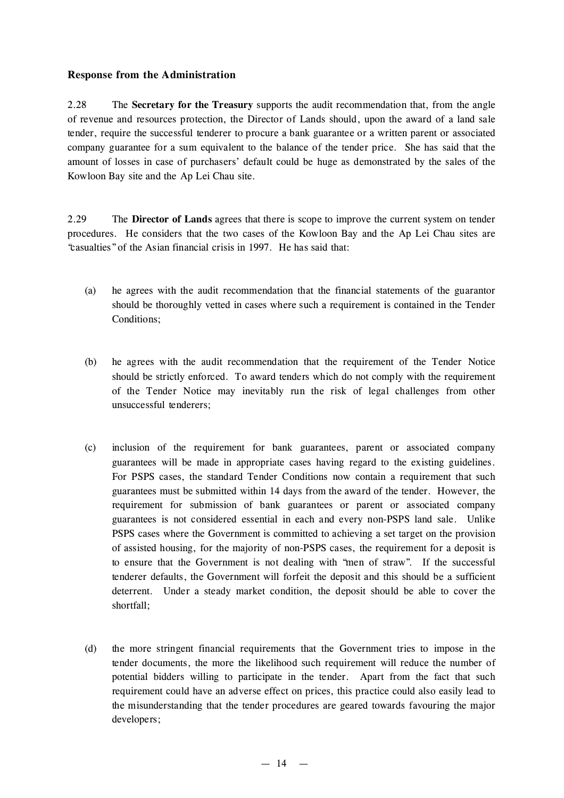## **Response from the Administration**

2.28 The **Secretary for the Treasury** supports the audit recommendation that, from the angle of revenue and resources protection, the Director of Lands should, upon the award of a land sale tender, require the successful tenderer to procure a bank guarantee or a written parent or associated company guarantee for a sum equivalent to the balance of the tender price. She has said that the amount of losses in case of purchasers' default could be huge as demonstrated by the sales of the Kowloon Bay site and the Ap Lei Chau site.

2.29 The **Director of Lands** agrees that there is scope to improve the current system on tender procedures. He considers that the two cases of the Kowloon Bay and the Ap Lei Chau sites are "casualties"of the Asian financial crisis in 1997. He has said that:

- (a) he agrees with the audit recommendation that the financial statements of the guarantor should be thoroughly vetted in cases where such a requirement is contained in the Tender Conditions;
- (b) he agrees with the audit recommendation that the requirement of the Tender Notice should be strictly enforced. To award tenders which do not comply with the requirement of the Tender Notice may inevitably run the risk of legal challenges from other unsuccessful tenderers;
- (c) inclusion of the requirement for bank guarantees, parent or associated company guarantees will be made in appropriate cases having regard to the existing guidelines. For PSPS cases, the standard Tender Conditions now contain a requirement that such guarantees must be submitted within 14 days from the award of the tender. However, the requirement for submission of bank guarantees or parent or associated company guarantees is not considered essential in each and every non-PSPS land sale. Unlike PSPS cases where the Government is committed to achieving a set target on the provision of assisted housing, for the majority of non-PSPS cases, the requirement for a deposit is to ensure that the Government is not dealing with "men of straw". If the successful tenderer defaults, the Government will forfeit the deposit and this should be a sufficient deterrent. Under a steady market condition, the deposit should be able to cover the shortfall;
- (d) the more stringent financial requirements that the Government tries to impose in the tender documents, the more the likelihood such requirement will reduce the number of potential bidders willing to participate in the tender. Apart from the fact that such requirement could have an adverse effect on prices, this practice could also easily lead to the misunderstanding that the tender procedures are geared towards favouring the major developers;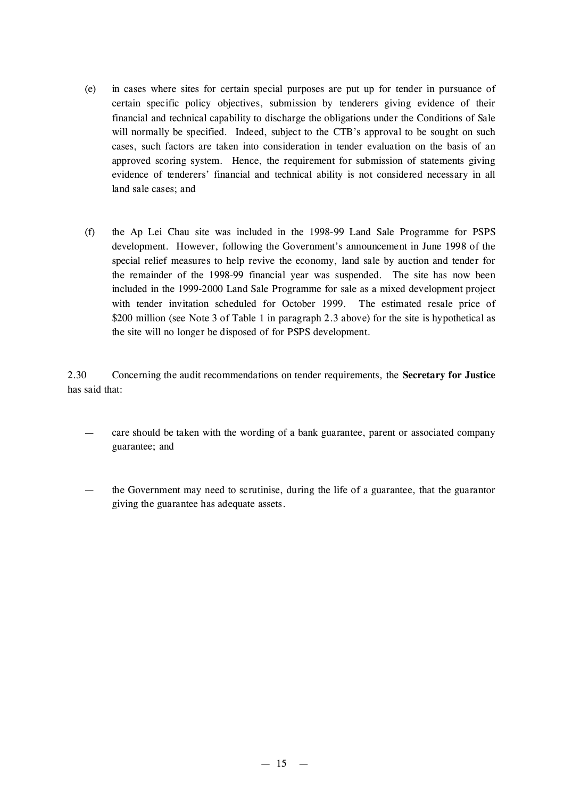- (e) in cases where sites for certain special purposes are put up for tender in pursuance of certain specific policy objectives, submission by tenderers giving evidence of their financial and technical capability to discharge the obligations under the Conditions of Sale will normally be specified. Indeed, subject to the CTB's approval to be sought on such cases, such factors are taken into consideration in tender evaluation on the basis of an approved scoring system. Hence, the requirement for submission of statements giving evidence of tenderers' financial and technical ability is not considered necessary in all land sale cases; and
- (f) the Ap Lei Chau site was included in the 1998-99 Land Sale Programme for PSPS development. However, following the Government's announcement in June 1998 of the special relief measures to help revive the economy, land sale by auction and tender for the remainder of the 1998-99 financial year was suspended. The site has now been included in the 1999-2000 Land Sale Programme for sale as a mixed development project with tender invitation scheduled for October 1999. The estimated resale price of \$200 million (see Note 3 of Table 1 in paragraph 2.3 above) for the site is hypothetical as the site will no longer be disposed of for PSPS development.

2.30 Concerning the audit recommendations on tender requirements, the **Secretary for Justice** has said that:

- care should be taken with the wording of a bank guarantee, parent or associated company guarantee; and
- the Government may need to scrutinise, during the life of a guarantee, that the guarantor giving the guarantee has adequate assets.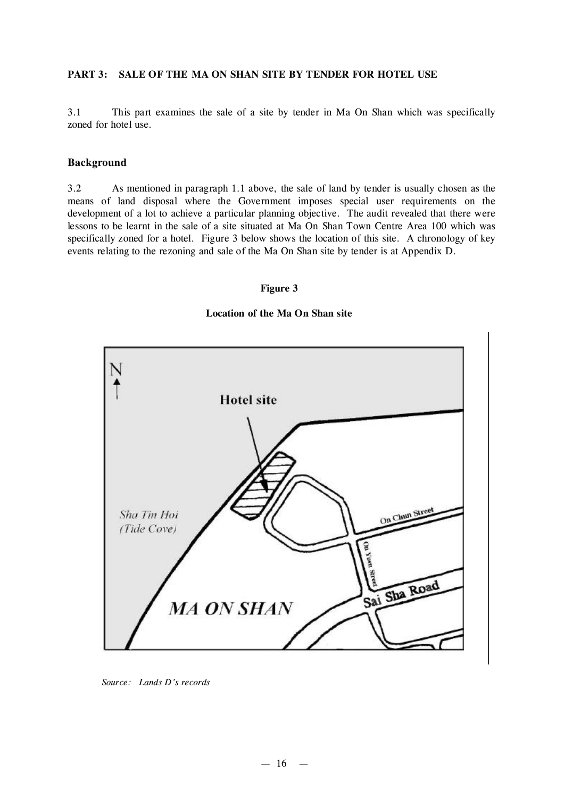#### **PART 3: SALE OF THE MA ON SHAN SITE BY TENDER FOR HOTEL USE**

3.1 This part examines the sale of a site by tender in Ma On Shan which was specifically zoned for hotel use.

#### **Background**

3.2 As mentioned in paragraph 1.1 above, the sale of land by tender is usually chosen as the means of land disposal where the Government imposes special user requirements on the development of a lot to achieve a particular planning objective. The audit revealed that there were lessons to be learnt in the sale of a site situated at Ma On Shan Town Centre Area 100 which was specifically zoned for a hotel. Figure 3 below shows the location of this site. A chronology of key events relating to the rezoning and sale of the Ma On Shan site by tender is at Appendix D.

#### **Figure 3**

#### **Location of the Ma On Shan site**



*Source: Lands D's records*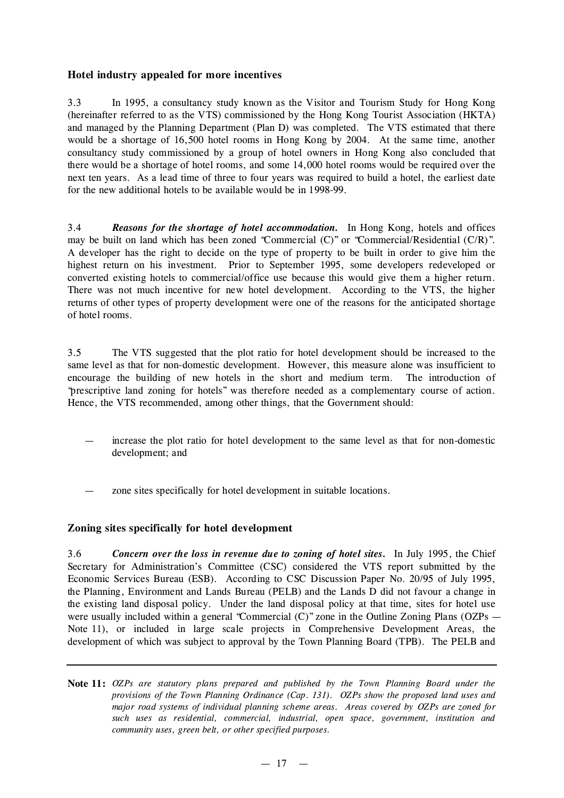## **Hotel industry appealed for more incentives**

3.3 In 1995, a consultancy study known as the Visitor and Tourism Study for Hong Kong (hereinafter referred to as the VTS) commissioned by the Hong Kong Tourist Association (HKTA) and managed by the Planning Department (Plan D) was completed. The VTS estimated that there would be a shortage of 16,500 hotel rooms in Hong Kong by 2004. At the same time, another consultancy study commissioned by a group of hotel owners in Hong Kong also concluded that there would be a shortage of hotel rooms, and some 14,000 hotel rooms would be required over the next ten years. As a lead time of three to four years was required to build a hotel, the earliest date for the new additional hotels to be available would be in 1998-99.

3.4 *Reasons for the shortage of hotel accommodation.* In Hong Kong, hotels and offices may be built on land which has been zoned "Commercial (C)" or "Commercial/Residential (C/R)". A developer has the right to decide on the type of property to be built in order to give him the highest return on his investment. Prior to September 1995, some developers redeveloped or converted existing hotels to commercial/office use because this would give them a higher return. There was not much incentive for new hotel development. According to the VTS, the higher returns of other types of property development were one of the reasons for the anticipated shortage of hotel rooms.

3.5 The VTS suggested that the plot ratio for hotel development should be increased to the same level as that for non-domestic development. However, this measure alone was insufficient to encourage the building of new hotels in the short and medium term. The introduction of "prescriptive land zoning for hotels" was therefore needed as a complementary course of action. Hence, the VTS recommended, among other things, that the Government should:

- increase the plot ratio for hotel development to the same level as that for non-domestic development; and
- zone sites specifically for hotel development in suitable locations.

### **Zoning sites specifically for hotel development**

3.6 *Concern over the loss in revenue due to zoning of hotel sites.* In July 1995, the Chief Secretary for Administration's Committee (CSC) considered the VTS report submitted by the Economic Services Bureau (ESB). According to CSC Discussion Paper No. 20/95 of July 1995, the Planning, Environment and Lands Bureau (PELB) and the Lands D did not favour a change in the existing land disposal policy. Under the land disposal policy at that time, sites for hotel use were usually included within a general "Commercial (C)" zone in the Outline Zoning Plans (OZPs — Note 11), or included in large scale projects in Comprehensive Development Areas, the development of which was subject to approval by the Town Planning Board (TPB). The PELB and

**Note 11:** *OZPs are statutory plans prepared and published by the Town Planning Board under the provisions of the Town Planning Ordinance (Cap. 131). OZPs show the proposed land uses and major road systems of individual planning scheme areas. Areas covered by OZPs are zoned for such uses as residential, commercial, industrial, open space, government, institution and community uses, green belt, or other specified purposes.*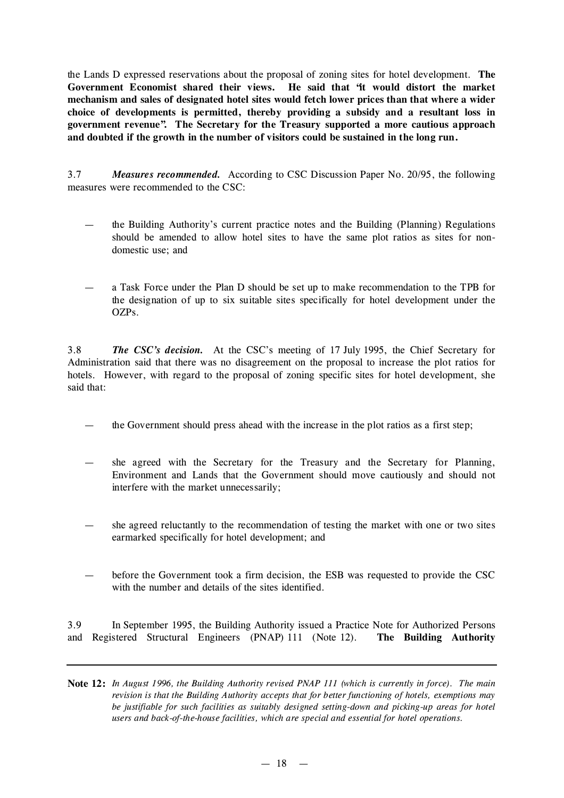the Lands D expressed reservations about the proposal of zoning sites for hotel development. **The Government Economist shared their views. He said that "it would distort the market mechanism and sales of designated hotel sites would fetch lower prices than that where a wider choice of developments is permitted, thereby providing a subsidy and a resultant loss in government revenue". The Secretary for the Treasury supported a more cautious approach and doubted if the growth in the number of visitors could be sustained in the long run.**

3.7 *Measures recommended.* According to CSC Discussion Paper No. 20/95, the following measures were recommended to the CSC:

- the Building Authority's current practice notes and the Building (Planning) Regulations should be amended to allow hotel sites to have the same plot ratios as sites for nondomestic use; and
- a Task Force under the Plan D should be set up to make recommendation to the TPB for the designation of up to six suitable sites specifically for hotel development under the OZPs.

3.8 *The CSC's decision.* At the CSC's meeting of 17 July 1995, the Chief Secretary for Administration said that there was no disagreement on the proposal to increase the plot ratios for hotels. However, with regard to the proposal of zoning specific sites for hotel development, she said that:

- the Government should press ahead with the increase in the plot ratios as a first step;
- she agreed with the Secretary for the Treasury and the Secretary for Planning, Environment and Lands that the Government should move cautiously and should not interfere with the market unnecessarily;
- she agreed reluctantly to the recommendation of testing the market with one or two sites earmarked specifically for hotel development; and
- before the Government took a firm decision, the ESB was requested to provide the CSC with the number and details of the sites identified.

3.9 In September 1995, the Building Authority issued a Practice Note for Authorized Persons and Registered Structural Engineers (PNAP) 111 (Note 12). **The Building Authority**

Note 12: In August 1996, the Building Authority revised PNAP 111 (which is currently in force). The main *revision is that the Building Authority accepts that for better functioning of hotels, exemptions may be justifiable for such facilities as suitably designed setting-down and picking-up areas for hotel users and back-of-the-house facilities, which are special and essential for hotel operations.*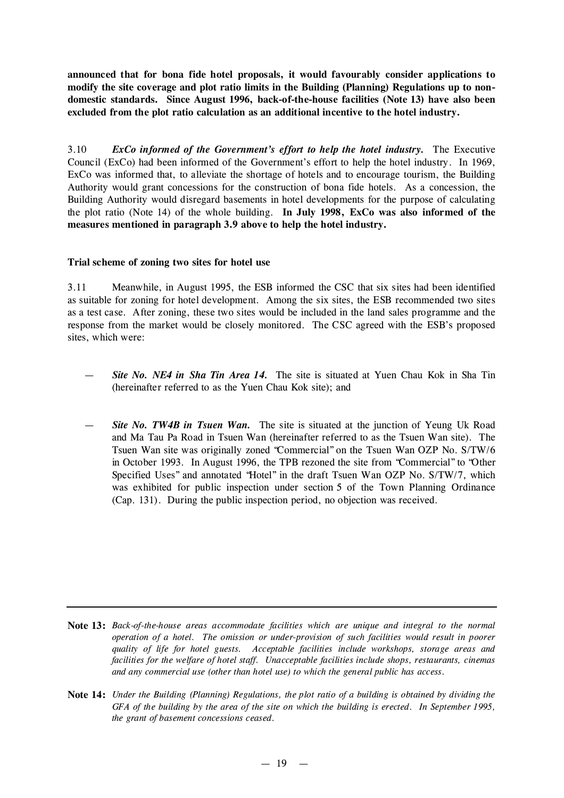**announced that for bona fide hotel proposals, it would favourably consider applications to modify the site coverage and plot ratio limits in the Building (Planning) Regulations up to nondomestic standards. Since August 1996, back-of-the-house facilities (Note 13) have also been excluded from the plot ratio calculation as an additional incentive to the hotel industry.**

3.10 *ExCo informed of the Government's effort to help the hotel industry.* The Executive Council (ExCo) had been informed of the Government's effort to help the hotel industry. In 1969, ExCo was informed that, to alleviate the shortage of hotels and to encourage tourism, the Building Authority would grant concessions for the construction of bona fide hotels. As a concession, the Building Authority would disregard basements in hotel developments for the purpose of calculating the plot ratio (Note 14) of the whole building. **In July 1998, ExCo was also informed of the measures mentioned in paragraph 3.9 above to help the hotel industry.**

#### **Trial scheme of zoning two sites for hotel use**

3.11 Meanwhile, in August 1995, the ESB informed the CSC that six sites had been identified as suitable for zoning for hotel development. Among the six sites, the ESB recommended two sites as a test case. After zoning, these two sites would be included in the land sales programme and the response from the market would be closely monitored. The CSC agreed with the ESB's proposed sites, which were:

- *Site No. NE4 in Sha Tin Area 14.* The site is situated at Yuen Chau Kok in Sha Tin (hereinafter referred to as the Yuen Chau Kok site); and
- *Site No. TW4B in Tsuen Wan.* The site is situated at the junction of Yeung Uk Road and Ma Tau Pa Road in Tsuen Wan (hereinafter referred to as the Tsuen Wan site). The Tsuen Wan site was originally zoned "Commercial" on the Tsuen Wan OZP No. S/TW/6 in October 1993. In August 1996, the TPB rezoned the site from "Commercial" to "Other Specified Uses" and annotated "Hotel" in the draft Tsuen Wan OZP No. S/TW/7, which was exhibited for public inspection under section 5 of the Town Planning Ordinance (Cap. 131). During the public inspection period, no objection was received.

- **Note 13:** *Back-of-the-house areas accommodate facilities which are unique and integral to the normal operation of a hotel. The omission or under-provision of such facilities would result in poorer quality of life for hotel guests. Acceptable facilities include workshops, storage areas and facilities for the welfare of hotel staff. Unacceptable facilities include shops, restaurants, cinemas and any commercial use (other than hotel use) to which the general public has access.*
- Note 14: Under the Building (Planning) Regulations, the plot ratio of a building is obtained by dividing the GFA of the building by the area of the site on which the building is erected. In September 1995, *the grant of basement concessions ceased.*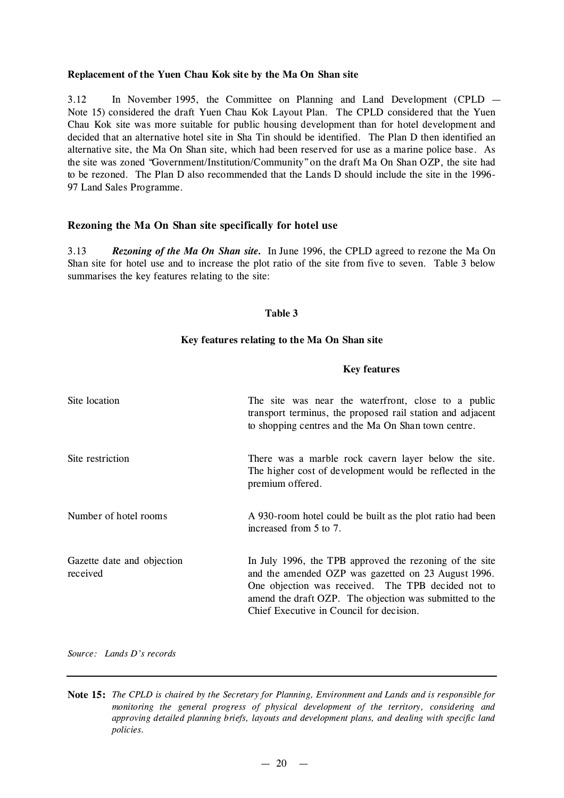#### **Replacement of the Yuen Chau Kok site by the Ma On Shan site**

3.12 In November 1995, the Committee on Planning and Land Development (CPLD — Note 15) considered the draft Yuen Chau Kok Layout Plan. The CPLD considered that the Yuen Chau Kok site was more suitable for public housing development than for hotel development and decided that an alternative hotel site in Sha Tin should be identified. The Plan D then identified an alternative site, the Ma On Shan site, which had been reserved for use as a marine police base. As the site was zoned "Government/Institution/Community"on the draft Ma On Shan OZP, the site had to be rezoned. The Plan D also recommended that the Lands D should include the site in the 1996- 97 Land Sales Programme.

#### **Rezoning the Ma On Shan site specifically for hotel use**

3.13 *Rezoning of the Ma On Shan site.* In June 1996, the CPLD agreed to rezone the Ma On Shan site for hotel use and to increase the plot ratio of the site from five to seven. Table 3 below summarises the key features relating to the site:

#### **Table 3**

#### **Key features relating to the Ma On Shan site**

#### **Key features**

| Site location                          | The site was near the waterfront, close to a public<br>transport terminus, the proposed rail station and adjacent<br>to shopping centres and the Ma On Shan town centre.                                                                                                    |
|----------------------------------------|-----------------------------------------------------------------------------------------------------------------------------------------------------------------------------------------------------------------------------------------------------------------------------|
| Site restriction                       | There was a marble rock cavern layer below the site.<br>The higher cost of development would be reflected in the<br>premium offered.                                                                                                                                        |
| Number of hotel rooms                  | A 930-room hotel could be built as the plot ratio had been<br>increased from 5 to 7.                                                                                                                                                                                        |
| Gazette date and objection<br>received | In July 1996, the TPB approved the rezoning of the site<br>and the amended OZP was gazetted on 23 August 1996.<br>One objection was received. The TPB decided not to<br>amend the draft OZP. The objection was submitted to the<br>Chief Executive in Council for decision. |

*Source: Lands D's records*

Note 15: The CPLD is chaired by the Secretary for Planning, Environment and Lands and is responsible for *monitoring the general progress of physical development of the territory, considering and approving detailed planning briefs, layouts and development plans, and dealing with specific land policies.*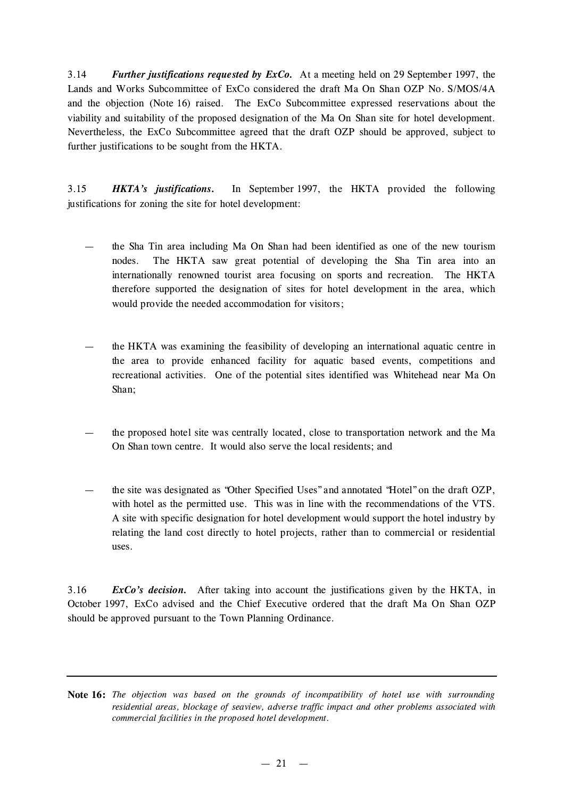3.14 *Further justifications requested by ExCo.* At a meeting held on 29 September 1997, the Lands and Works Subcommittee of ExCo considered the draft Ma On Shan OZP No. S/MOS/4A and the objection (Note 16) raised. The ExCo Subcommittee expressed reservations about the viability and suitability of the proposed designation of the Ma On Shan site for hotel development. Nevertheless, the ExCo Subcommittee agreed that the draft OZP should be approved, subject to further justifications to be sought from the HKTA.

3.15 *HKTA's justifications.* In September 1997, the HKTA provided the following justifications for zoning the site for hotel development:

- the Sha Tin area including Ma On Shan had been identified as one of the new tourism nodes. The HKTA saw great potential of developing the Sha Tin area into an internationally renowned tourist area focusing on sports and recreation. The HKTA therefore supported the designation of sites for hotel development in the area, which would provide the needed accommodation for visitors;
- the HKTA was examining the feasibility of developing an international aquatic centre in the area to provide enhanced facility for aquatic based events, competitions and recreational activities. One of the potential sites identified was Whitehead near Ma On Shan;
- the proposed hotel site was centrally located, close to transportation network and the Ma On Shan town centre. It would also serve the local residents; and
- the site was designated as "Other Specified Uses" and annotated "Hotel" on the draft OZP, with hotel as the permitted use. This was in line with the recommendations of the VTS. A site with specific designation for hotel development would support the hotel industry by relating the land cost directly to hotel projects, rather than to commercial or residential uses.

3.16 *ExCo's decision.* After taking into account the justifications given by the HKTA, in October 1997, ExCo advised and the Chief Executive ordered that the draft Ma On Shan OZP should be approved pursuant to the Town Planning Ordinance.

**Note 16:** *The objection was based on the grounds of incompatibility of hotel use with surrounding residential areas, blockage of seaview, adverse traffic impact and other problems associated with commercial facilities in the proposed hotel development.*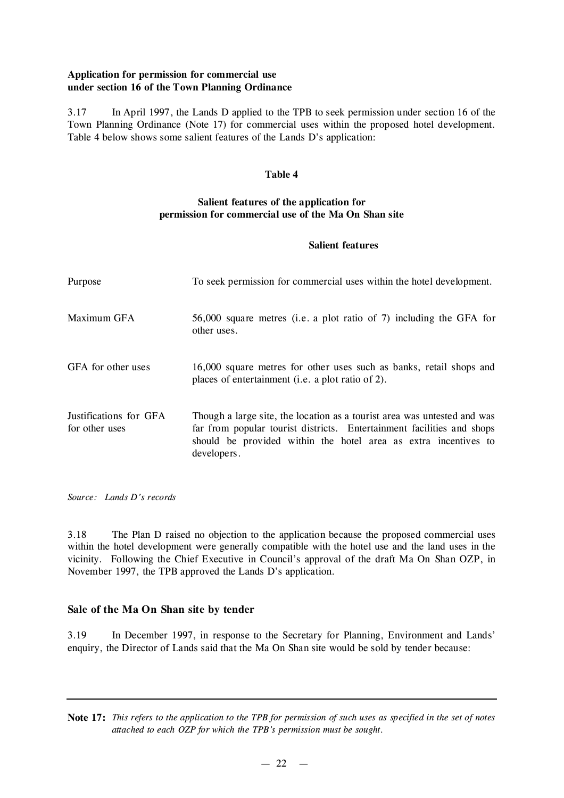### **Application for permission for commercial use under section 16 of the Town Planning Ordinance**

3.17 In April 1997, the Lands D applied to the TPB to seek permission under section 16 of the Town Planning Ordinance (Note 17) for commercial uses within the proposed hotel development. Table 4 below shows some salient features of the Lands D's application:

#### **Table 4**

## **Salient features of the application for permission for commercial use of the Ma On Shan site**

#### **Salient features**

| Purpose                                  | To seek permission for commercial uses within the hotel development.                                                                                                                                                                 |
|------------------------------------------|--------------------------------------------------------------------------------------------------------------------------------------------------------------------------------------------------------------------------------------|
| Maximum GFA                              | 56,000 square metres (i.e. a plot ratio of 7) including the GFA for<br>other uses.                                                                                                                                                   |
| GFA for other uses                       | 16,000 square metres for other uses such as banks, retail shops and<br>places of entertainment (i.e. a plot ratio of 2).                                                                                                             |
| Justifications for GFA<br>for other uses | Though a large site, the location as a tourist area was untested and was<br>far from popular tourist districts. Entertainment facilities and shops<br>should be provided within the hotel area as extra incentives to<br>developers. |

*Source: Lands D's records*

3.18 The Plan D raised no objection to the application because the proposed commercial uses within the hotel development were generally compatible with the hotel use and the land uses in the vicinity. Following the Chief Executive in Council's approval of the draft Ma On Shan OZP, in November 1997, the TPB approved the Lands D's application.

### **Sale of the Ma On Shan site by tender**

3.19 In December 1997, in response to the Secretary for Planning, Environment and Lands' enquiry, the Director of Lands said that the Ma On Shan site would be sold by tender because:

Note 17: This refers to the application to the TPB for permission of such uses as specified in the set of notes *attached to each OZP for which the TPB's permission must be sought.*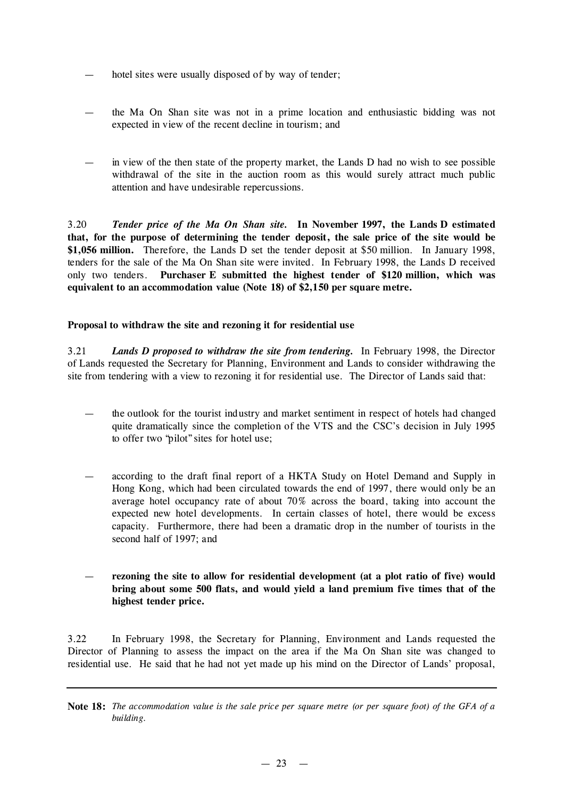- hotel sites were usually disposed of by way of tender;
- the Ma On Shan site was not in a prime location and enthusiastic bidding was not expected in view of the recent decline in tourism; and
- in view of the then state of the property market, the Lands D had no wish to see possible withdrawal of the site in the auction room as this would surely attract much public attention and have undesirable repercussions.

3.20 *Tender price of the Ma On Shan site.* **In November 1997, the Lands D estimated that, for the purpose of determining the tender deposit, the sale price of the site would be \$1,056 million.** Therefore, the Lands D set the tender deposit at \$50 million. In January 1998, tenders for the sale of the Ma On Shan site were invited. In February 1998, the Lands D received only two tenders. **Purchaser E submitted the highest tender of \$120 million, which was equivalent to an accommodation value (Note 18) of \$2,150 per square metre.**

#### **Proposal to withdraw the site and rezoning it for residential use**

3.21 *Lands D proposed to withdraw the site from tendering.* In February 1998, the Director of Lands requested the Secretary for Planning, Environment and Lands to consider withdrawing the site from tendering with a view to rezoning it for residential use. The Director of Lands said that:

- the outlook for the tourist industry and market sentiment in respect of hotels had changed quite dramatically since the completion of the VTS and the CSC's decision in July 1995 to offer two "pilot"sites for hotel use;
- according to the draft final report of a HKTA Study on Hotel Demand and Supply in Hong Kong, which had been circulated towards the end of 1997, there would only be an average hotel occupancy rate of about 70% across the board, taking into account the expected new hotel developments. In certain classes of hotel, there would be excess capacity. Furthermore, there had been a dramatic drop in the number of tourists in the second half of 1997; and
- **rezoning the site to allow for residential development (at a plot ratio of five) would bring about some 500 flats, and would yield a land premium five times that of the highest tender price.**

3.22 In February 1998, the Secretary for Planning, Environment and Lands requested the Director of Planning to assess the impact on the area if the Ma On Shan site was changed to residential use. He said that he had not yet made up his mind on the Director of Lands' proposal,

Note 18: The accommodation value is the sale price per square metre (or per square foot) of the GFA of a *building.*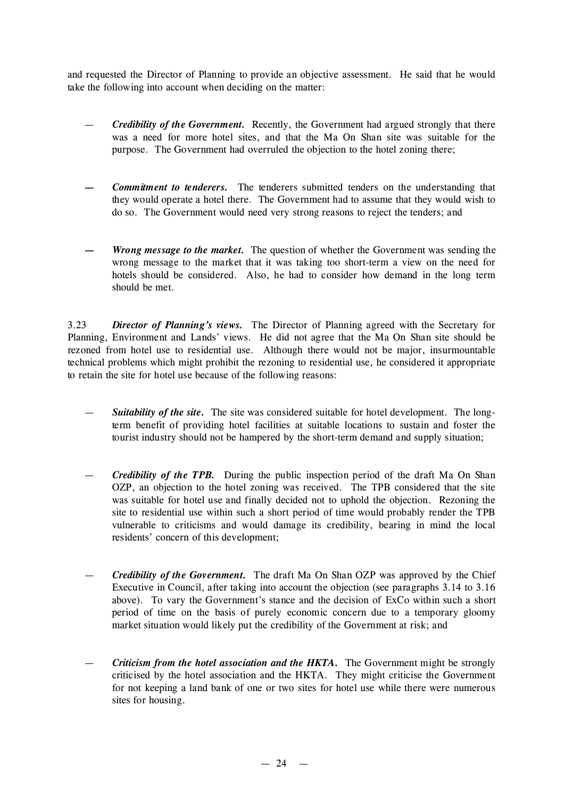and requested the Director of Planning to provide an objective assessment. He said that he would take the following into account when deciding on the matter:

- *Credibility of the Government.* Recently, the Government had argued strongly that there was a need for more hotel sites, and that the Ma On Shan site was suitable for the purpose. The Government had overruled the objection to the hotel zoning there;
- *— Commitment to tenderers.* The tenderers submitted tenders on the understanding that they would operate a hotel there. The Government had to assume that they would wish to do so. The Government would need very strong reasons to reject the tenders; and
- *— Wrong message to the market.* The question of whether the Government was sending the wrong message to the market that it was taking too short-term a view on the need for hotels should be considered. Also, he had to consider how demand in the long term should be met.

3.23 *Director of Planning's views.* The Director of Planning agreed with the Secretary for Planning, Environment and Lands' views. He did not agree that the Ma On Shan site should be rezoned from hotel use to residential use. Although there would not be major, insurmountable technical problems which might prohibit the rezoning to residential use, he considered it appropriate to retain the site for hotel use because of the following reasons:

- *Suitability of the site.* The site was considered suitable for hotel development. The longterm benefit of providing hotel facilities at suitable locations to sustain and foster the tourist industry should not be hampered by the short-term demand and supply situation;
- *Credibility of the TPB.* During the public inspection period of the draft Ma On Shan OZP, an objection to the hotel zoning was received. The TPB considered that the site was suitable for hotel use and finally decided not to uphold the objection. Rezoning the site to residential use within such a short period of time would probably render the TPB vulnerable to criticisms and would damage its credibility, bearing in mind the local residents' concern of this development;
- *Credibility of the Government.* The draft Ma On Shan OZP was approved by the Chief Executive in Council, after taking into account the objection (see paragraphs 3.14 to 3.16 above). To vary the Government's stance and the decision of ExCo within such a short period of time on the basis of purely economic concern due to a temporary gloomy market situation would likely put the credibility of the Government at risk; and
- *Criticism from the hotel association and the HKTA.* The Government might be strongly criticised by the hotel association and the HKTA. They might criticise the Government for not keeping a land bank of one or two sites for hotel use while there were numerous sites for housing.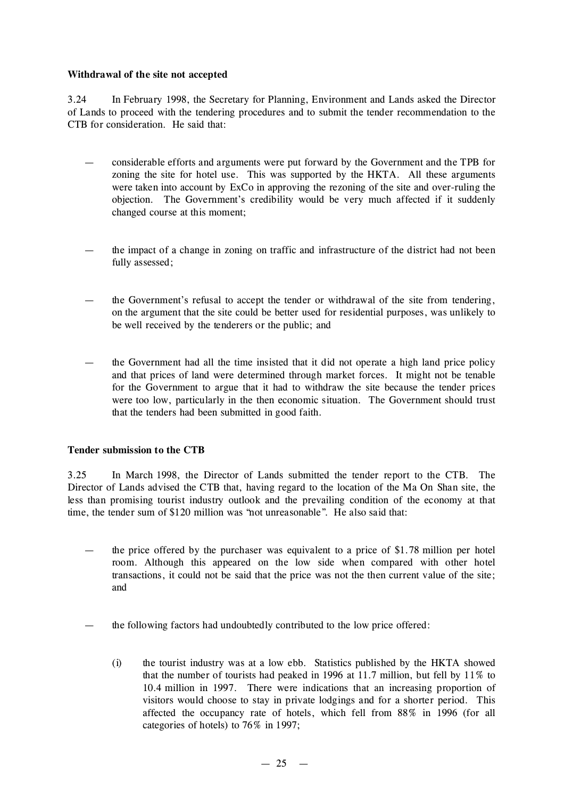#### **Withdrawal of the site not accepted**

3.24 In February 1998, the Secretary for Planning, Environment and Lands asked the Director of Lands to proceed with the tendering procedures and to submit the tender recommendation to the CTB for consideration. He said that:

- considerable efforts and arguments were put forward by the Government and the TPB for zoning the site for hotel use. This was supported by the HKTA. All these arguments were taken into account by ExCo in approving the rezoning of the site and over-ruling the objection. The Government's credibility would be very much affected if it suddenly changed course at this moment;
- the impact of a change in zoning on traffic and infrastructure of the district had not been fully assessed;
- the Government's refusal to accept the tender or withdrawal of the site from tendering, on the argument that the site could be better used for residential purposes, was unlikely to be well received by the tenderers or the public; and
- the Government had all the time insisted that it did not operate a high land price policy and that prices of land were determined through market forces. It might not be tenable for the Government to argue that it had to withdraw the site because the tender prices were too low, particularly in the then economic situation. The Government should trust that the tenders had been submitted in good faith.

### **Tender submission to the CTB**

3.25 In March 1998, the Director of Lands submitted the tender report to the CTB. The Director of Lands advised the CTB that, having regard to the location of the Ma On Shan site, the less than promising tourist industry outlook and the prevailing condition of the economy at that time, the tender sum of \$120 million was "not unreasonable". He also said that:

- the price offered by the purchaser was equivalent to a price of  $$1.78$  million per hotel room. Although this appeared on the low side when compared with other hotel transactions, it could not be said that the price was not the then current value of the site; and
- the following factors had undoubtedly contributed to the low price offered:
	- (i) the tourist industry was at a low ebb. Statistics published by the HKTA showed that the number of tourists had peaked in 1996 at 11.7 million, but fell by 11% to 10.4 million in 1997. There were indications that an increasing proportion of visitors would choose to stay in private lodgings and for a shorter period. This affected the occupancy rate of hotels, which fell from 88% in 1996 (for all categories of hotels) to 76% in 1997;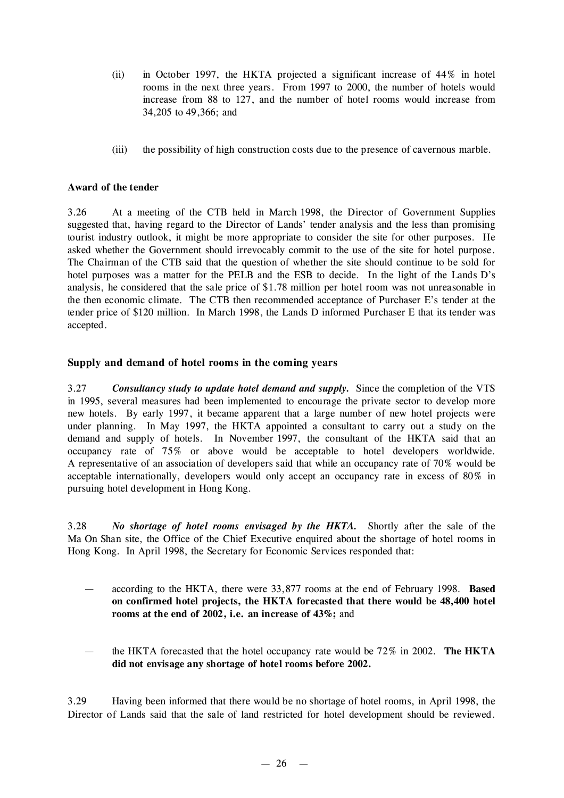- (ii) in October 1997, the HKTA projected a significant increase of 44% in hotel rooms in the next three years. From 1997 to 2000, the number of hotels would increase from 88 to 127, and the number of hotel rooms would increase from 34,205 to 49,366; and
- (iii) the possibility of high construction costs due to the presence of cavernous marble.

#### **Award of the tender**

3.26 At a meeting of the CTB held in March 1998, the Director of Government Supplies suggested that, having regard to the Director of Lands' tender analysis and the less than promising tourist industry outlook, it might be more appropriate to consider the site for other purposes. He asked whether the Government should irrevocably commit to the use of the site for hotel purpose. The Chairman of the CTB said that the question of whether the site should continue to be sold for hotel purposes was a matter for the PELB and the ESB to decide. In the light of the Lands D's analysis, he considered that the sale price of \$1.78 million per hotel room was not unreasonable in the then economic climate. The CTB then recommended acceptance of Purchaser E's tender at the tender price of \$120 million. In March 1998, the Lands D informed Purchaser E that its tender was accepted.

#### **Supply and demand of hotel rooms in the coming years**

3.27 *Consultancy study to update hotel demand and supply.* Since the completion of the VTS in 1995, several measures had been implemented to encourage the private sector to develop more new hotels. By early 1997, it became apparent that a large number of new hotel projects were under planning. In May 1997, the HKTA appointed a consultant to carry out a study on the demand and supply of hotels. In November 1997, the consultant of the HKTA said that an occupancy rate of 75% or above would be acceptable to hotel developers worldwide. A representative of an association of developers said that while an occupancy rate of 70% would be acceptable internationally, developers would only accept an occupancy rate in excess of 80% in pursuing hotel development in Hong Kong.

3.28 *No shortage of hotel rooms envisaged by the HKTA.* Shortly after the sale of the Ma On Shan site, the Office of the Chief Executive enquired about the shortage of hotel rooms in Hong Kong. In April 1998, the Secretary for Economic Services responded that:

- according to the HKTA, there were 33,877 rooms at the end of February 1998. **Based on confirmed hotel projects, the HKTA forecasted that there would be 48,400 hotel rooms at the end of 2002, i.e. an increase of 43%;** and
- the HKTA forecasted that the hotel occupancy rate would be 72% in 2002. **The HKTA did not envisage any shortage of hotel rooms before 2002.**

3.29 Having been informed that there would be no shortage of hotel rooms, in April 1998, the Director of Lands said that the sale of land restricted for hotel development should be reviewed.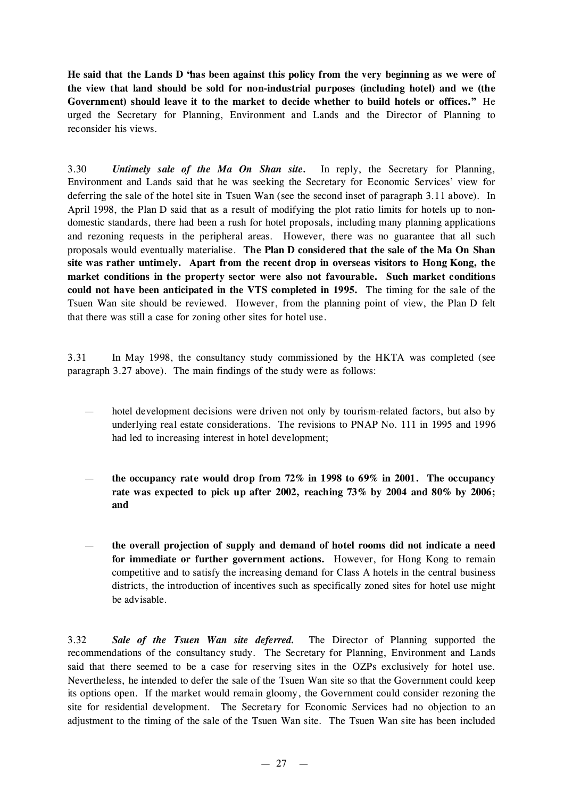He said that the Lands D 'has been against this policy from the very beginning as we were of **the view that land should be sold for non-industrial purposes (including hotel) and we (the Government) should leave it to the market to decide whether to build hotels or offices."** He urged the Secretary for Planning, Environment and Lands and the Director of Planning to reconsider his views.

3.30 *Untimely sale of the Ma On Shan site.* In reply, the Secretary for Planning, Environment and Lands said that he was seeking the Secretary for Economic Services' view for deferring the sale of the hotel site in Tsuen Wan (see the second inset of paragraph 3.11 above). In April 1998, the Plan D said that as a result of modifying the plot ratio limits for hotels up to nondomestic standards, there had been a rush for hotel proposals, including many planning applications and rezoning requests in the peripheral areas. However, there was no guarantee that all such proposals would eventually materialise. **The Plan D considered that the sale of the Ma On Shan site was rather untimely. Apart from the recent drop in overseas visitors to Hong Kong, the market conditions in the property sector were also not favourable. Such market conditions could not have been anticipated in the VTS completed in 1995.** The timing for the sale of the Tsuen Wan site should be reviewed. However, from the planning point of view, the Plan D felt that there was still a case for zoning other sites for hotel use.

3.31 In May 1998, the consultancy study commissioned by the HKTA was completed (see paragraph 3.27 above). The main findings of the study were as follows:

- hotel development decisions were driven not only by tourism-related factors, but also by underlying real estate considerations. The revisions to PNAP No. 111 in 1995 and 1996 had led to increasing interest in hotel development;
- **the occupancy rate would drop from 72% in 1998 to 69% in 2001. The occupancy rate was expected to pick up after 2002, reaching 73% by 2004 and 80% by 2006; and**
- **the overall projection of supply and demand of hotel rooms did not indicate a need for immediate or further government actions.** However, for Hong Kong to remain competitive and to satisfy the increasing demand for Class A hotels in the central business districts, the introduction of incentives such as specifically zoned sites for hotel use might be advisable.

3.32 *Sale of the Tsuen Wan site deferred.* The Director of Planning supported the recommendations of the consultancy study. The Secretary for Planning, Environment and Lands said that there seemed to be a case for reserving sites in the OZPs exclusively for hotel use. Nevertheless, he intended to defer the sale of the Tsuen Wan site so that the Government could keep its options open. If the market would remain gloomy, the Government could consider rezoning the site for residential development. The Secretary for Economic Services had no objection to an adjustment to the timing of the sale of the Tsuen Wan site. The Tsuen Wan site has been included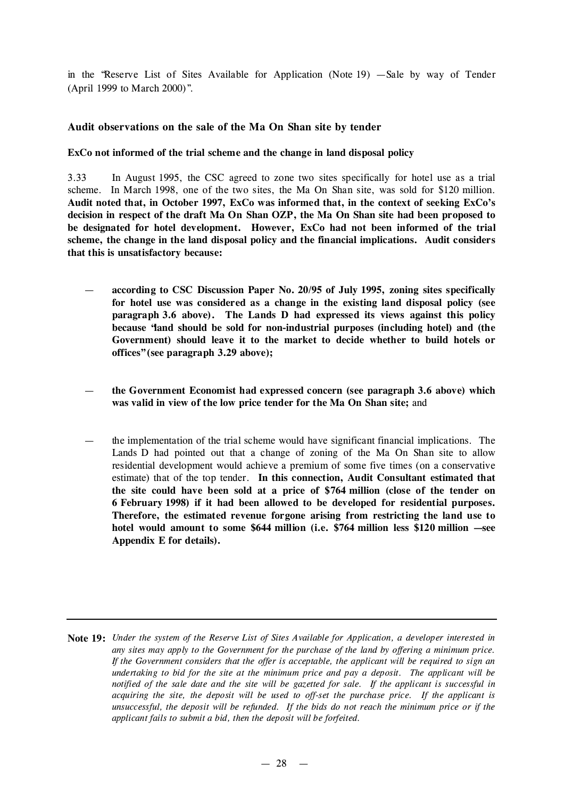in the "Reserve List of Sites Available for Application (Note 19) — Sale by way of Tender (April 1999 to March 2000)".

#### **Audit observations on the sale of the Ma On Shan site by tender**

#### **ExCo not informed of the trial scheme and the change in land disposal policy**

3.33 In August 1995, the CSC agreed to zone two sites specifically for hotel use as a trial scheme. In March 1998, one of the two sites, the Ma On Shan site, was sold for \$120 million. **Audit noted that, in October 1997, ExCo was informed that, in the context of seeking ExCo's decision in respect of the draft Ma On Shan OZP, the Ma On Shan site had been proposed to be designated for hotel development. However, ExCo had not been informed of the trial scheme, the change in the land disposal policy and the financial implications. Audit considers that this is unsatisfactory because:**

- **according to CSC Discussion Paper No. 20/95 of July 1995, zoning sites specifically for hotel use was considered as a change in the existing land disposal policy (see paragraph 3.6 above). The Lands D had expressed its views against this policy because "land should be sold for non-industrial purposes (including hotel) and (the Government) should leave it to the market to decide whether to build hotels or offices"(see paragraph 3.29 above);**
- **the Government Economist had expressed concern (see paragraph 3.6 above) which was valid in view of the low price tender for the Ma On Shan site;** and
- the implementation of the trial scheme would have significant financial implications. The Lands D had pointed out that a change of zoning of the Ma On Shan site to allow residential development would achieve a premium of some five times (on a conservative estimate) that of the top tender. **In this connection, Audit Consultant estimated that the site could have been sold at a price of \$764 million (close of the tender on 6 February 1998) if it had been allowed to be developed for residential purposes. Therefore, the estimated revenue forgone arising from restricting the land use to hotel would amount to some \$644 million (i.e. \$764 million less \$120 million — see Appendix E for details).**

Note 19: Under the system of the Reserve List of Sites Available for Application, a developer interested in *any sites may apply to the Government for the purchase of the land by offering a minimum price. If the Government considers that the offer is acceptable, the applicant will be required to sign an undertaking to bid for the site at the minimum price and pay a deposit. The applicant will be* notified of the sale date and the site will be gazetted for sale. If the applicant is successful in *acquiring the site, the deposit will be used to off-set the purchase price. If the applicant is unsuccessful, the deposit will be refunded. If the bids do not reach the minimum price or if the applicant fails to submit a bid, then the deposit will be forfeited.*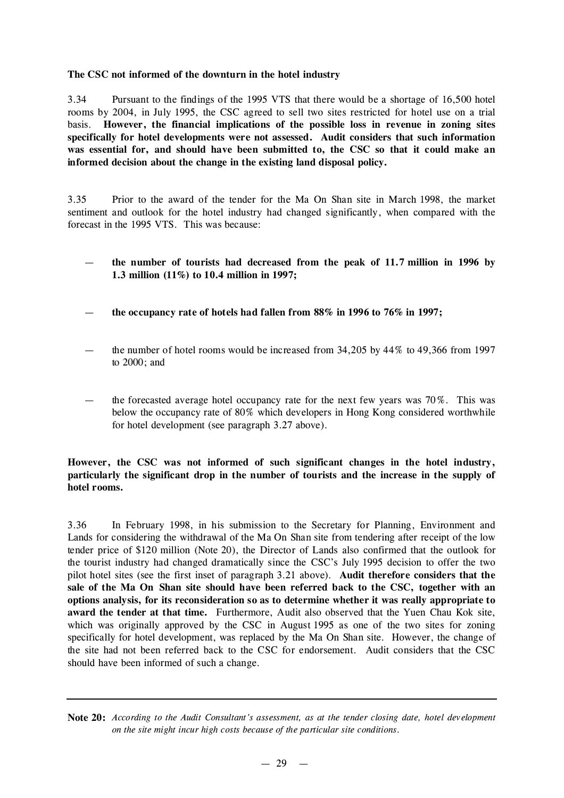#### **The CSC not informed of the downturn in the hotel industry**

3.34 Pursuant to the findings of the 1995 VTS that there would be a shortage of 16,500 hotel rooms by 2004, in July 1995, the CSC agreed to sell two sites restricted for hotel use on a trial basis. **However, the financial implications of the possible loss in revenue in zoning sites specifically for hotel developments were not assessed. Audit considers that such information was essential for, and should have been submitted to, the CSC so that it could make an informed decision about the change in the existing land disposal policy.**

3.35 Prior to the award of the tender for the Ma On Shan site in March 1998, the market sentiment and outlook for the hotel industry had changed significantly, when compared with the forecast in the 1995 VTS. This was because:

- **the number of tourists had decreased from the peak of 11.7 million in 1996 by 1.3 million (11%) to 10.4 million in 1997;**
- **the occupancy rate of hotels had fallen from 88% in 1996 to 76% in 1997;**
- the number of hotel rooms would be increased from  $34,205$  by  $44\%$  to  $49,366$  from 1997 to 2000; and
- the forecasted average hotel occupancy rate for the next few years was  $70\%$ . This was below the occupancy rate of 80% which developers in Hong Kong considered worthwhile for hotel development (see paragraph 3.27 above).

**However, the CSC was not informed of such significant changes in the hotel industry, particularly the significant drop in the number of tourists and the increase in the supply of hotel rooms.**

3.36 In February 1998, in his submission to the Secretary for Planning, Environment and Lands for considering the withdrawal of the Ma On Shan site from tendering after receipt of the low tender price of \$120 million (Note 20), the Director of Lands also confirmed that the outlook for the tourist industry had changed dramatically since the CSC's July 1995 decision to offer the two pilot hotel sites (see the first inset of paragraph 3.21 above). **Audit therefore considers that the sale of the Ma On Shan site should have been referred back to the CSC, together with an options analysis, for its reconsideration so as to determine whether it was really appropriate to award the tender at that time.** Furthermore, Audit also observed that the Yuen Chau Kok site, which was originally approved by the CSC in August 1995 as one of the two sites for zoning specifically for hotel development, was replaced by the Ma On Shan site. However, the change of the site had not been referred back to the CSC for endorsement. Audit considers that the CSC should have been informed of such a change.

Note 20: According to the Audit Consultant's assessment, as at the tender closing date, hotel development *on the site might incur high costs because of the particular site conditions.*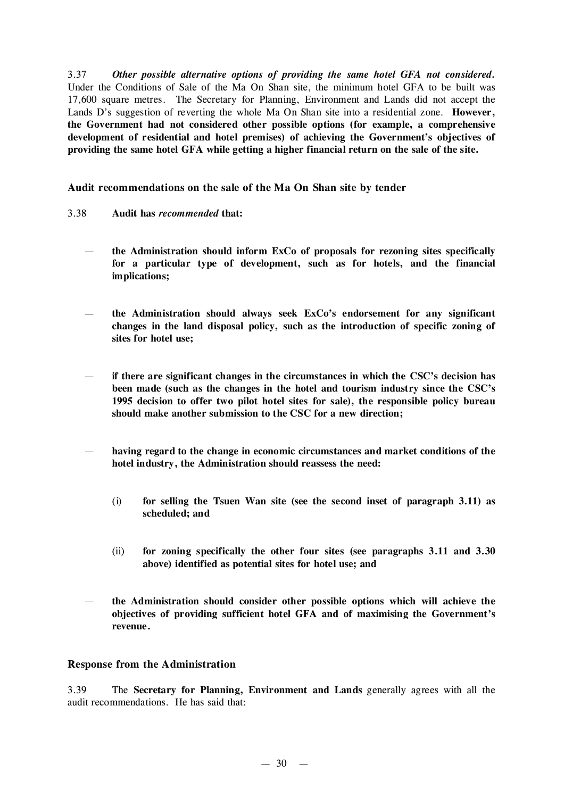3.37 *Other possible alternative options of providing the same hotel GFA not considered.* Under the Conditions of Sale of the Ma On Shan site, the minimum hotel GFA to be built was 17,600 square metres. The Secretary for Planning, Environment and Lands did not accept the Lands D's suggestion of reverting the whole Ma On Shan site into a residential zone. **However, the Government had not considered other possible options (for example, a comprehensive development of residential and hotel premises) of achieving the Government's objectives of providing the same hotel GFA while getting a higher financial return on the sale of the site.**

**Audit recommendations on the sale of the Ma On Shan site by tender**

- 3.38 **Audit has** *recommended* **that:**
	- **the Administration should inform ExCo of proposals for rezoning sites specifically for a particular type of development, such as for hotels, and the financial implications;**
	- **the Administration should always seek ExCo's endorsement for any significant changes in the land disposal policy, such as the introduction of specific zoning of sites for hotel use;**
	- **if there are significant changes in the circumstances in which the CSC's decision has been made (such as the changes in the hotel and tourism industry since the CSC's 1995 decision to offer two pilot hotel sites for sale), the responsible policy bureau should make another submission to the CSC for a new direction;**
	- **having regard to the change in economic circumstances and market conditions of the hotel industry, the Administration should reassess the need:**
		- (i) **for selling the Tsuen Wan site (see the second inset of paragraph 3.11) as scheduled; and**
		- (ii) **for zoning specifically the other four sites (see paragraphs 3.11 and 3.30 above) identified as potential sites for hotel use; and**
	- **the Administration should consider other possible options which will achieve the objectives of providing sufficient hotel GFA and of maximising the Government's revenue.**

### **Response from the Administration**

3.39 The **Secretary for Planning, Environment and Lands** generally agrees with all the audit recommendations. He has said that: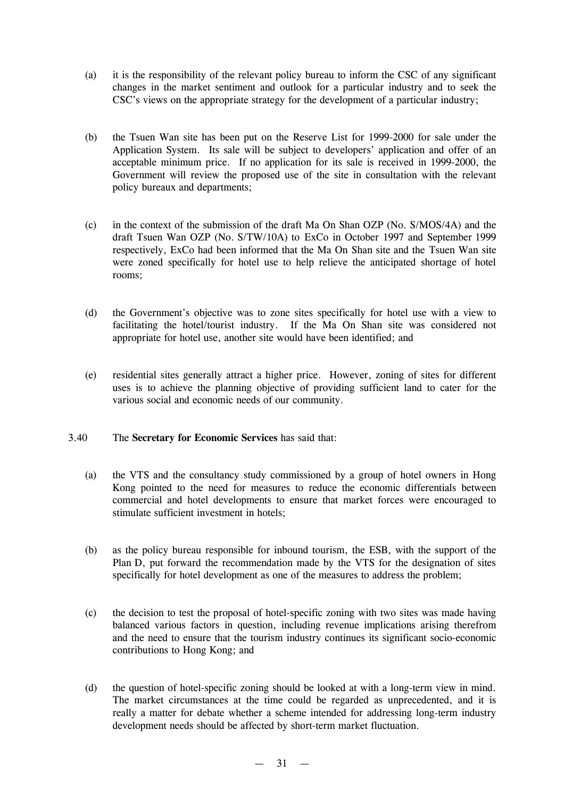- (a) it is the responsibility of the relevant policy bureau to inform the CSC of any significant changes in the market sentiment and outlook for a particular industry and to seek the CSC's views on the appropriate strategy for the development of a particular industry;
- (b) the Tsuen Wan site has been put on the Reserve List for 1999-2000 for sale under the Application System. Its sale will be subject to developers' application and offer of an acceptable minimum price. If no application for its sale is received in 1999-2000, the Government will review the proposed use of the site in consultation with the relevant policy bureaux and departments;
- (c) in the context of the submission of the draft Ma On Shan OZP (No. S/MOS/4A) and the draft Tsuen Wan OZP (No. S/TW/10A) to ExCo in October 1997 and September 1999 respectively, ExCo had been informed that the Ma On Shan site and the Tsuen Wan site were zoned specifically for hotel use to help relieve the anticipated shortage of hotel rooms;
- (d) the Government's objective was to zone sites specifically for hotel use with a view to facilitating the hotel/tourist industry. If the Ma On Shan site was considered not appropriate for hotel use, another site would have been identified; and
- (e) residential sites generally attract a higher price. However, zoning of sites for different uses is to achieve the planning objective of providing sufficient land to cater for the various social and economic needs of our community.
- 3.40 The **Secretary for Economic Services** has said that:
	- (a) the VTS and the consultancy study commissioned by a group of hotel owners in Hong Kong pointed to the need for measures to reduce the economic differentials between commercial and hotel developments to ensure that market forces were encouraged to stimulate sufficient investment in hotels;
	- (b) as the policy bureau responsible for inbound tourism, the ESB, with the support of the Plan D, put forward the recommendation made by the VTS for the designation of sites specifically for hotel development as one of the measures to address the problem;
	- (c) the decision to test the proposal of hotel-specific zoning with two sites was made having balanced various factors in question, including revenue implications arising therefrom and the need to ensure that the tourism industry continues its significant socio-economic contributions to Hong Kong; and
	- (d) the question of hotel-specific zoning should be looked at with a long-term view in mind. The market circumstances at the time could be regarded as unprecedented, and it is really a matter for debate whether a scheme intended for addressing long-term industry development needs should be affected by short-term market fluctuation.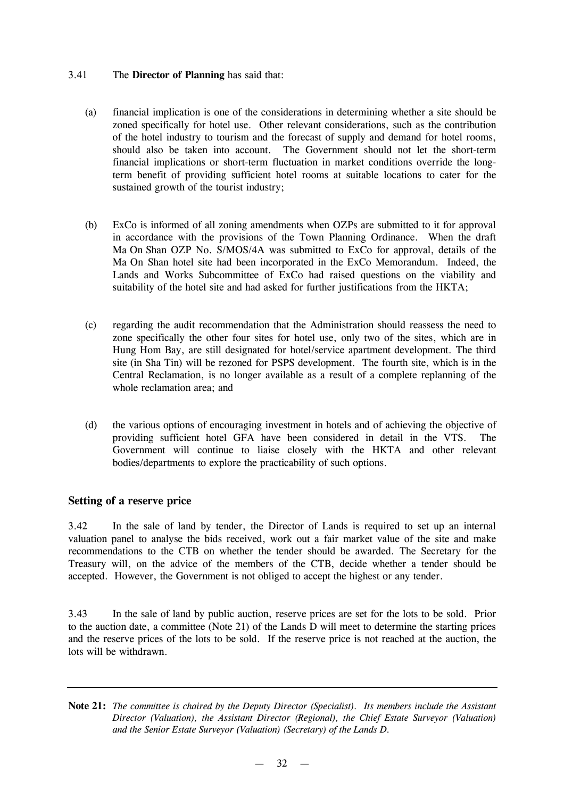#### 3.41 The **Director of Planning** has said that:

- (a) financial implication is one of the considerations in determining whether a site should be zoned specifically for hotel use. Other relevant considerations, such as the contribution of the hotel industry to tourism and the forecast of supply and demand for hotel rooms, should also be taken into account. The Government should not let the short-term financial implications or short-term fluctuation in market conditions override the longterm benefit of providing sufficient hotel rooms at suitable locations to cater for the sustained growth of the tourist industry;
- (b) ExCo is informed of all zoning amendments when OZPs are submitted to it for approval in accordance with the provisions of the Town Planning Ordinance. When the draft Ma On Shan OZP No. S/MOS/4A was submitted to ExCo for approval, details of the Ma On Shan hotel site had been incorporated in the ExCo Memorandum. Indeed, the Lands and Works Subcommittee of ExCo had raised questions on the viability and suitability of the hotel site and had asked for further justifications from the HKTA;
- (c) regarding the audit recommendation that the Administration should reassess the need to zone specifically the other four sites for hotel use, only two of the sites, which are in Hung Hom Bay, are still designated for hotel/service apartment development. The third site (in Sha Tin) will be rezoned for PSPS development. The fourth site, which is in the Central Reclamation, is no longer available as a result of a complete replanning of the whole reclamation area; and
- (d) the various options of encouraging investment in hotels and of achieving the objective of providing sufficient hotel GFA have been considered in detail in the VTS. The Government will continue to liaise closely with the HKTA and other relevant bodies/departments to explore the practicability of such options.

### **Setting of a reserve price**

3.42 In the sale of land by tender, the Director of Lands is required to set up an internal valuation panel to analyse the bids received, work out a fair market value of the site and make recommendations to the CTB on whether the tender should be awarded. The Secretary for the Treasury will, on the advice of the members of the CTB, decide whether a tender should be accepted. However, the Government is not obliged to accept the highest or any tender.

3.43 In the sale of land by public auction, reserve prices are set for the lots to be sold. Prior to the auction date, a committee (Note 21) of the Lands D will meet to determine the starting prices and the reserve prices of the lots to be sold. If the reserve price is not reached at the auction, the lots will be withdrawn.

**Note 21:** *The committee is chaired by the Deputy Director (Specialist). Its members include the Assistant Director (Valuation), the Assistant Director (Regional), the Chief Estate Surveyor (Valuation) and the Senior Estate Surveyor (Valuation) (Secretary) of the Lands D.*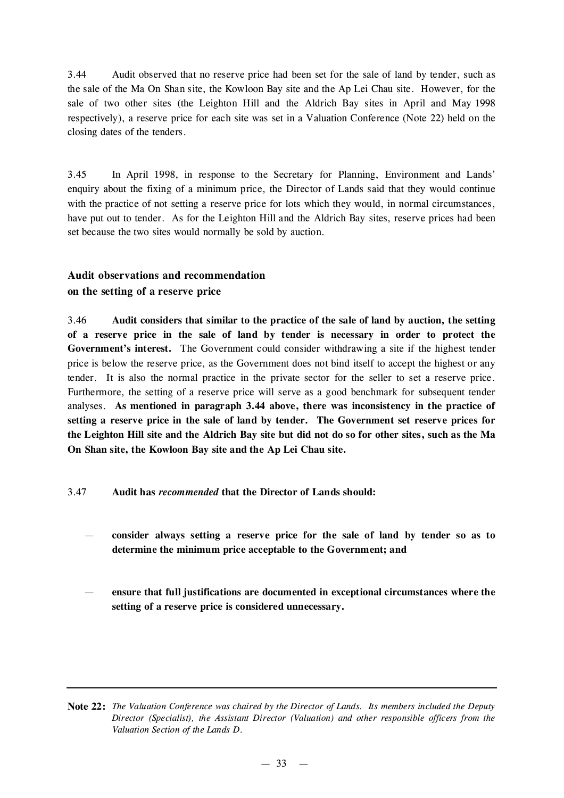3.44 Audit observed that no reserve price had been set for the sale of land by tender, such as the sale of the Ma On Shan site, the Kowloon Bay site and the Ap Lei Chau site. However, for the sale of two other sites (the Leighton Hill and the Aldrich Bay sites in April and May 1998 respectively), a reserve price for each site was set in a Valuation Conference (Note 22) held on the closing dates of the tenders.

3.45 In April 1998, in response to the Secretary for Planning, Environment and Lands' enquiry about the fixing of a minimum price, the Director of Lands said that they would continue with the practice of not setting a reserve price for lots which they would, in normal circumstances, have put out to tender. As for the Leighton Hill and the Aldrich Bay sites, reserve prices had been set because the two sites would normally be sold by auction.

## **Audit observations and recommendation**

## **on the setting of a reserve price**

3.46 **Audit considers that similar to the practice of the sale of land by auction, the setting of a reserve price in the sale of land by tender is necessary in order to protect the Government's interest.** The Government could consider withdrawing a site if the highest tender price is below the reserve price, as the Government does not bind itself to accept the highest or any tender. It is also the normal practice in the private sector for the seller to set a reserve price. Furthermore, the setting of a reserve price will serve as a good benchmark for subsequent tender analyses. **As mentioned in paragraph 3.44 above, there was inconsistency in the practice of setting a reserve price in the sale of land by tender. The Government set reserve prices for** the Leighton Hill site and the Aldrich Bay site but did not do so for other sites, such as the Ma **On Shan site, the Kowloon Bay site and the Ap Lei Chau site.**

### 3.47 **Audit has** *recommended* **that the Director of Lands should:**

- **consider always setting a reserve price for the sale of land by tender so as to determine the minimum price acceptable to the Government; and**
- **ensure that full justifications are documented in exceptional circumstances where the setting of a reserve price is considered unnecessary.**

**Note 22:** *The Valuation Conference was chaired by the Director of Lands. Its members included the Deputy Director (Specialist), the Assistant Director (Valuation) and other responsible officers from the Valuation Section of the Lands D.*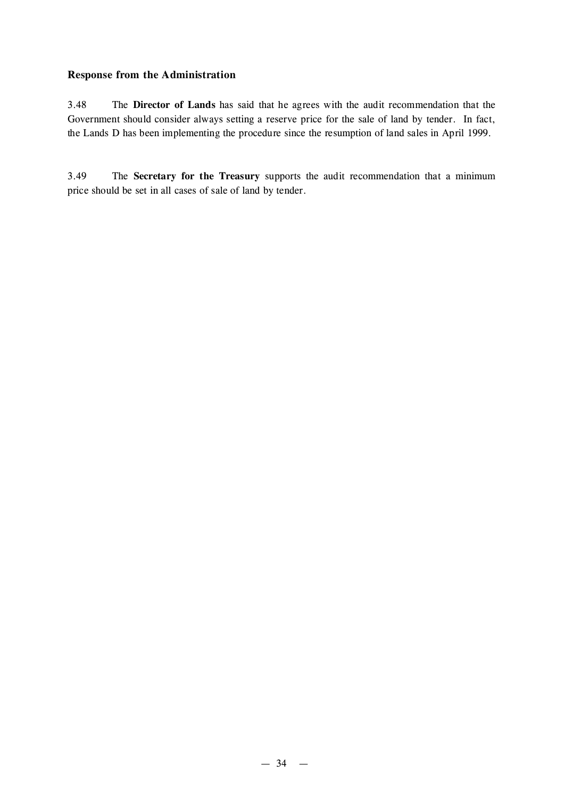### **Response from the Administration**

3.48 The **Director of Lands** has said that he agrees with the audit recommendation that the Government should consider always setting a reserve price for the sale of land by tender. In fact, the Lands D has been implementing the procedure since the resumption of land sales in April 1999.

3.49 The **Secretary for the Treasury** supports the audit recommendation that a minimum price should be set in all cases of sale of land by tender.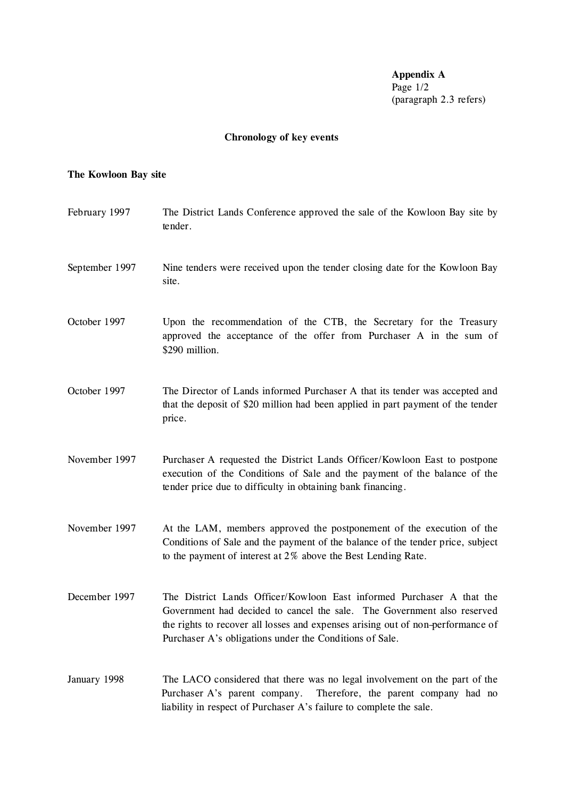**Appendix A** Page 1/2 (paragraph 2.3 refers)

# **Chronology of key events**

## **The Kowloon Bay site**

| February 1997  | The District Lands Conference approved the sale of the Kowloon Bay site by<br>tender.                                                                                                                                                                                                          |
|----------------|------------------------------------------------------------------------------------------------------------------------------------------------------------------------------------------------------------------------------------------------------------------------------------------------|
| September 1997 | Nine tenders were received upon the tender closing date for the Kowloon Bay<br>site.                                                                                                                                                                                                           |
| October 1997   | Upon the recommendation of the CTB, the Secretary for the Treasury<br>approved the acceptance of the offer from Purchaser A in the sum of<br>\$290 million.                                                                                                                                    |
| October 1997   | The Director of Lands informed Purchaser A that its tender was accepted and<br>that the deposit of \$20 million had been applied in part payment of the tender<br>price.                                                                                                                       |
| November 1997  | Purchaser A requested the District Lands Officer/Kowloon East to postpone<br>execution of the Conditions of Sale and the payment of the balance of the<br>tender price due to difficulty in obtaining bank financing.                                                                          |
| November 1997  | At the LAM, members approved the postponement of the execution of the<br>Conditions of Sale and the payment of the balance of the tender price, subject<br>to the payment of interest at 2% above the Best Lending Rate.                                                                       |
| December 1997  | The District Lands Officer/Kowloon East informed Purchaser A that the<br>Government had decided to cancel the sale. The Government also reserved<br>the rights to recover all losses and expenses arising out of non-performance of<br>Purchaser A's obligations under the Conditions of Sale. |
| January 1998   | The LACO considered that there was no legal involvement on the part of the<br>Purchaser A's parent company.<br>Therefore, the parent company had no<br>liability in respect of Purchaser A's failure to complete the sale.                                                                     |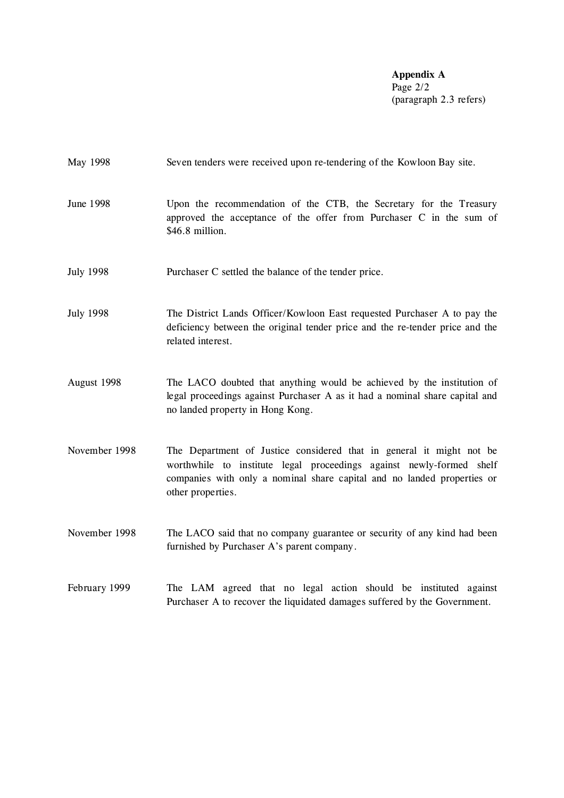**Appendix A** Page 2/2 (paragraph 2.3 refers)

| May 1998         | Seven tenders were received upon re-tendering of the Kowloon Bay site.                                                                                                                                                                       |
|------------------|----------------------------------------------------------------------------------------------------------------------------------------------------------------------------------------------------------------------------------------------|
| <b>June 1998</b> | Upon the recommendation of the CTB, the Secretary for the Treasury<br>approved the acceptance of the offer from Purchaser C in the sum of<br>\$46.8 million.                                                                                 |
| <b>July 1998</b> | Purchaser C settled the balance of the tender price.                                                                                                                                                                                         |
| <b>July 1998</b> | The District Lands Officer/Kowloon East requested Purchaser A to pay the<br>deficiency between the original tender price and the re-tender price and the<br>related interest.                                                                |
| August 1998      | The LACO doubted that anything would be achieved by the institution of<br>legal proceedings against Purchaser A as it had a nominal share capital and<br>no landed property in Hong Kong.                                                    |
| November 1998    | The Department of Justice considered that in general it might not be<br>worthwhile to institute legal proceedings against newly-formed shelf<br>companies with only a nominal share capital and no landed properties or<br>other properties. |
| November 1998    | The LACO said that no company guarantee or security of any kind had been<br>furnished by Purchaser A's parent company.                                                                                                                       |
| February 1999    | The LAM agreed that no legal action should be instituted against<br>Purchaser A to recover the liquidated damages suffered by the Government.                                                                                                |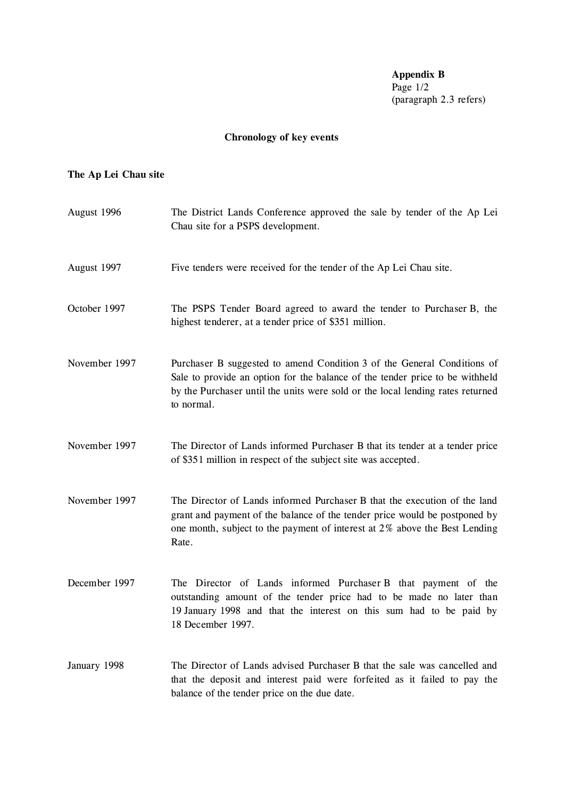**Appendix B** Page 1/2 (paragraph 2.3 refers)

# **Chronology of key events**

## **The Ap Lei Chau site**

| August 1996   | The District Lands Conference approved the sale by tender of the Ap Lei<br>Chau site for a PSPS development.                                                                                                                                            |
|---------------|---------------------------------------------------------------------------------------------------------------------------------------------------------------------------------------------------------------------------------------------------------|
| August 1997   | Five tenders were received for the tender of the Ap Lei Chau site.                                                                                                                                                                                      |
| October 1997  | The PSPS Tender Board agreed to award the tender to Purchaser B, the<br>highest tenderer, at a tender price of \$351 million.                                                                                                                           |
| November 1997 | Purchaser B suggested to amend Condition 3 of the General Conditions of<br>Sale to provide an option for the balance of the tender price to be withheld<br>by the Purchaser until the units were sold or the local lending rates returned<br>to normal. |
| November 1997 | The Director of Lands informed Purchaser B that its tender at a tender price<br>of \$351 million in respect of the subject site was accepted.                                                                                                           |
| November 1997 | The Director of Lands informed Purchaser B that the execution of the land<br>grant and payment of the balance of the tender price would be postponed by<br>one month, subject to the payment of interest at 2% above the Best Lending<br>Rate.          |
| December 1997 | The Director of Lands informed Purchaser B that payment of the<br>outstanding amount of the tender price had to be made no later than<br>19 January 1998 and that the interest on this sum had to be paid by<br>18 December 1997.                       |
| January 1998  | The Director of Lands advised Purchaser B that the sale was cancelled and<br>that the deposit and interest paid were forfeited as it failed to pay the<br>balance of the tender price on the due date.                                                  |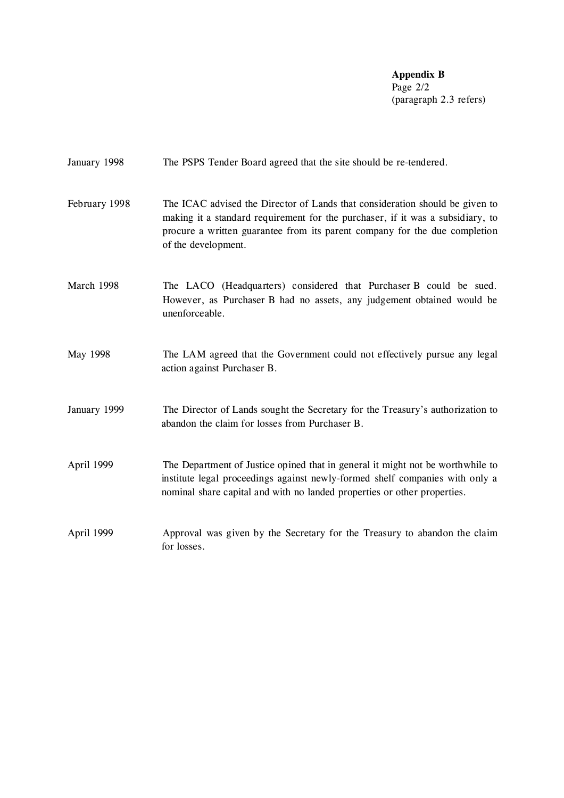**Appendix B** Page 2/2 (paragraph 2.3 refers)

| January 1998  | The PSPS Tender Board agreed that the site should be re-tendered.                                                                                                                                                                                                   |
|---------------|---------------------------------------------------------------------------------------------------------------------------------------------------------------------------------------------------------------------------------------------------------------------|
| February 1998 | The ICAC advised the Director of Lands that consideration should be given to<br>making it a standard requirement for the purchaser, if it was a subsidiary, to<br>procure a written guarantee from its parent company for the due completion<br>of the development. |
| March 1998    | The LACO (Headquarters) considered that Purchaser B could be sued.<br>However, as Purchaser B had no assets, any judgement obtained would be<br>unenforceable.                                                                                                      |
| May 1998      | The LAM agreed that the Government could not effectively pursue any legal<br>action against Purchaser B.                                                                                                                                                            |
| January 1999  | The Director of Lands sought the Secretary for the Treasury's authorization to<br>abandon the claim for losses from Purchaser B.                                                                                                                                    |
| April 1999    | The Department of Justice opined that in general it might not be worthwhile to<br>institute legal proceedings against newly-formed shelf companies with only a<br>nominal share capital and with no landed properties or other properties.                          |
| April 1999    | Approval was given by the Secretary for the Treasury to abandon the claim<br>for losses.                                                                                                                                                                            |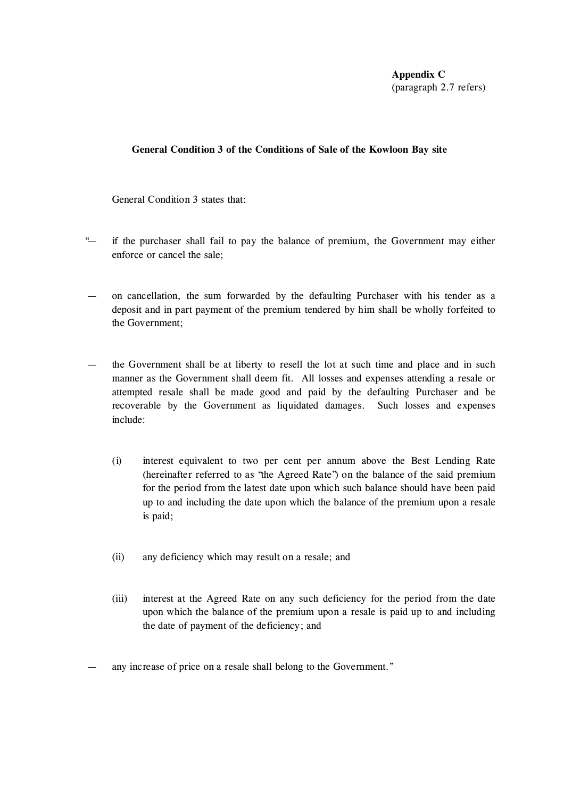**Appendix C** (paragraph 2.7 refers)

#### **General Condition 3 of the Conditions of Sale of the Kowloon Bay site**

General Condition 3 states that:

- "— if the purchaser shall fail to pay the balance of premium, the Government may either enforce or cancel the sale;
- on cancellation, the sum forwarded by the defaulting Purchaser with his tender as a deposit and in part payment of the premium tendered by him shall be wholly forfeited to the Government;
- the Government shall be at liberty to resell the lot at such time and place and in such manner as the Government shall deem fit. All losses and expenses attending a resale or attempted resale shall be made good and paid by the defaulting Purchaser and be recoverable by the Government as liquidated damages. Such losses and expenses include:
	- (i) interest equivalent to two per cent per annum above the Best Lending Rate (hereinafter referred to as "the Agreed Rate") on the balance of the said premium for the period from the latest date upon which such balance should have been paid up to and including the date upon which the balance of the premium upon a resale is paid;
	- (ii) any deficiency which may result on a resale; and
	- (iii) interest at the Agreed Rate on any such deficiency for the period from the date upon which the balance of the premium upon a resale is paid up to and including the date of payment of the deficiency; and
- any increase of price on a resale shall belong to the Government."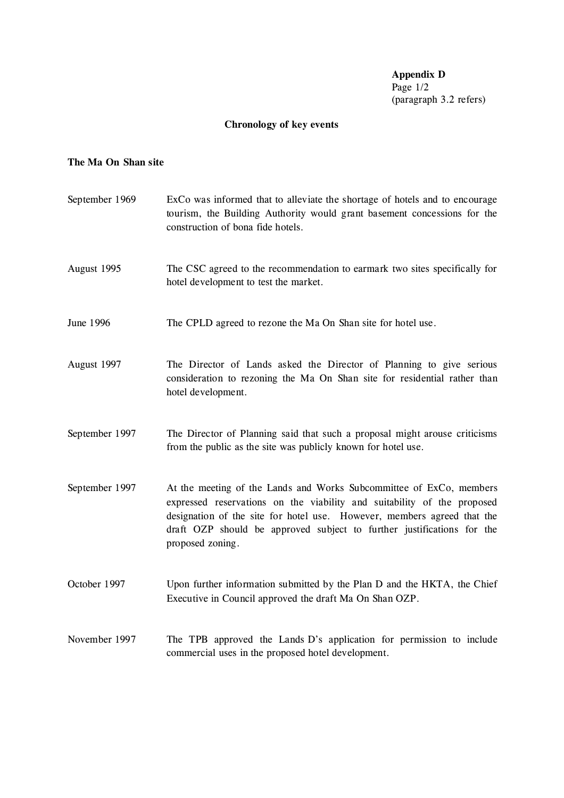**Appendix D** Page 1/2 (paragraph 3.2 refers)

# **Chronology of key events**

## **The Ma On Shan site**

| September 1969 | ExCo was informed that to alleviate the shortage of hotels and to encourage<br>tourism, the Building Authority would grant basement concessions for the<br>construction of bona fide hotels.                                                                                                                            |
|----------------|-------------------------------------------------------------------------------------------------------------------------------------------------------------------------------------------------------------------------------------------------------------------------------------------------------------------------|
| August 1995    | The CSC agreed to the recommendation to earmark two sites specifically for<br>hotel development to test the market.                                                                                                                                                                                                     |
| June 1996      | The CPLD agreed to rezone the Ma On Shan site for hotel use.                                                                                                                                                                                                                                                            |
| August 1997    | The Director of Lands asked the Director of Planning to give serious<br>consideration to rezoning the Ma On Shan site for residential rather than<br>hotel development.                                                                                                                                                 |
| September 1997 | The Director of Planning said that such a proposal might arouse criticisms<br>from the public as the site was publicly known for hotel use.                                                                                                                                                                             |
| September 1997 | At the meeting of the Lands and Works Subcommittee of ExCo, members<br>expressed reservations on the viability and suitability of the proposed<br>designation of the site for hotel use. However, members agreed that the<br>draft OZP should be approved subject to further justifications for the<br>proposed zoning. |
| October 1997   | Upon further information submitted by the Plan D and the HKTA, the Chief<br>Executive in Council approved the draft Ma On Shan OZP.                                                                                                                                                                                     |
| November 1997  | The TPB approved the Lands D's application for permission to include<br>commercial uses in the proposed hotel development.                                                                                                                                                                                              |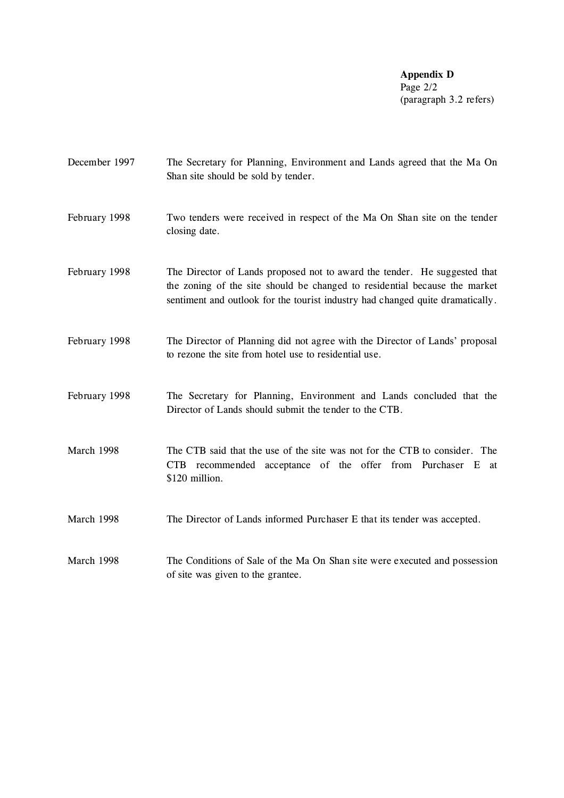**Appendix D** Page 2/2 (paragraph 3.2 refers)

| December 1997 | The Secretary for Planning, Environment and Lands agreed that the Ma On<br>Shan site should be sold by tender.                                                                                                                            |
|---------------|-------------------------------------------------------------------------------------------------------------------------------------------------------------------------------------------------------------------------------------------|
| February 1998 | Two tenders were received in respect of the Ma On Shan site on the tender<br>closing date.                                                                                                                                                |
| February 1998 | The Director of Lands proposed not to award the tender. He suggested that<br>the zoning of the site should be changed to residential because the market<br>sentiment and outlook for the tourist industry had changed quite dramatically. |
| February 1998 | The Director of Planning did not agree with the Director of Lands' proposal<br>to rezone the site from hotel use to residential use.                                                                                                      |
| February 1998 | The Secretary for Planning, Environment and Lands concluded that the<br>Director of Lands should submit the tender to the CTB.                                                                                                            |
| March 1998    | The CTB said that the use of the site was not for the CTB to consider. The<br>recommended acceptance of the offer from Purchaser E<br>CTB<br>at<br>\$120 million.                                                                         |
| March 1998    | The Director of Lands informed Purchaser E that its tender was accepted.                                                                                                                                                                  |
| March 1998    | The Conditions of Sale of the Ma On Shan site were executed and possession<br>of site was given to the grantee.                                                                                                                           |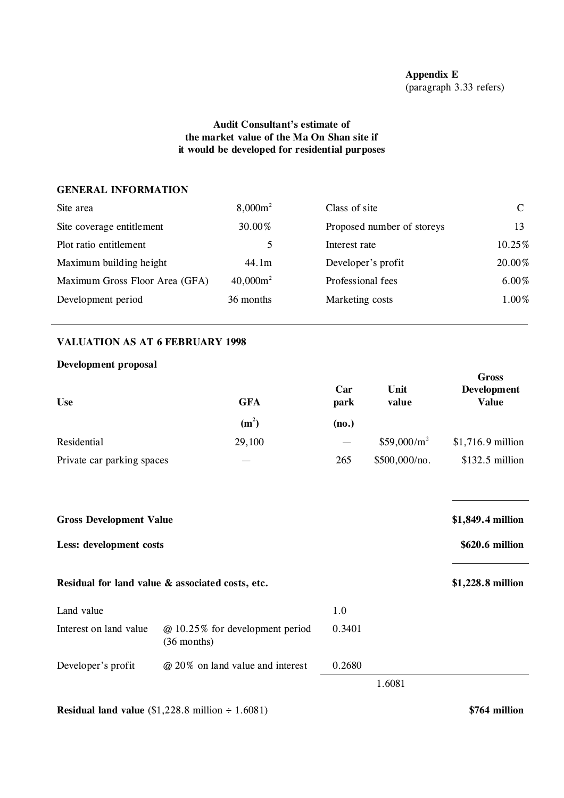## **Audit Consultant's estimate of the market value of the Ma On Shan site if it would be developed for residential purposes**

#### **GENERAL INFORMATION**

| $8,000m^2$  | Class of site              |          |
|-------------|----------------------------|----------|
| 30.00%      | Proposed number of storeys | 13       |
| 5.          | Interest rate              | 10.25%   |
| 44.1m       | Developer's profit         | 20.00%   |
| $40,000m^2$ | Professional fees          | $6.00\%$ |
| 36 months   | Marketing costs            | 1.00%    |
|             |                            |          |

### **VALUATION AS AT 6 FEBRUARY 1998**

#### **Development proposal**

| <b>Use</b>                 | <b>GFA</b> |       | Unit<br>value | Gross<br>Development<br><b>Value</b> |
|----------------------------|------------|-------|---------------|--------------------------------------|
|                            | $(m^2)$    | (no.) |               |                                      |
| Residential                | 29,100     |       | $$59,000/m^2$ | $$1,716.9$ million                   |
| Private car parking spaces |            | 265   | \$500,000/no. | $$132.5$ million                     |

| <b>Gross Development Value</b> |                                                  |        | \$1,849.4 million |
|--------------------------------|--------------------------------------------------|--------|-------------------|
| Less: development costs        |                                                  |        | \$620.6 million   |
|                                | Residual for land value & associated costs, etc. |        | \$1,228.8 million |
| Land value                     |                                                  | 1.0    |                   |
| Interest on land value         | @ 10.25% for development period<br>$(36$ months) | 0.3401 |                   |
| Developer's profit             | @ 20% on land value and interest                 | 0.2680 |                   |
|                                |                                                  |        | 1.6081            |

**Residual land value** (\$1,228.8 million ÷ 1.6081) **\$764 million**